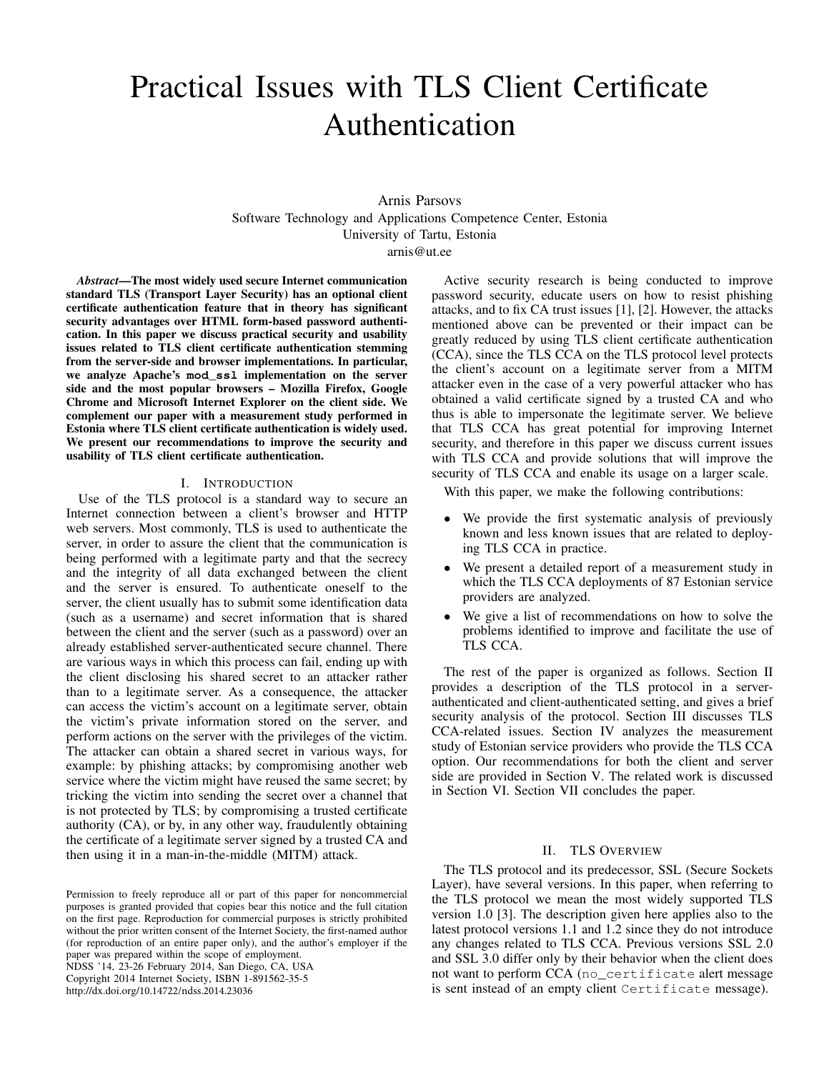# Practical Issues with TLS Client Certificate Authentication

Arnis Parsovs Software Technology and Applications Competence Center, Estonia University of Tartu, Estonia arnis@ut.ee

*Abstract*—The most widely used secure Internet communication standard TLS (Transport Layer Security) has an optional client certificate authentication feature that in theory has significant security advantages over HTML form-based password authentication. In this paper we discuss practical security and usability issues related to TLS client certificate authentication stemming from the server-side and browser implementations. In particular, we analyze Apache's **mod\_ssl** implementation on the server side and the most popular browsers – Mozilla Firefox, Google Chrome and Microsoft Internet Explorer on the client side. We complement our paper with a measurement study performed in Estonia where TLS client certificate authentication is widely used. We present our recommendations to improve the security and usability of TLS client certificate authentication.

#### I. INTRODUCTION

Use of the TLS protocol is a standard way to secure an Internet connection between a client's browser and HTTP web servers. Most commonly, TLS is used to authenticate the server, in order to assure the client that the communication is being performed with a legitimate party and that the secrecy and the integrity of all data exchanged between the client and the server is ensured. To authenticate oneself to the server, the client usually has to submit some identification data (such as a username) and secret information that is shared between the client and the server (such as a password) over an already established server-authenticated secure channel. There are various ways in which this process can fail, ending up with the client disclosing his shared secret to an attacker rather than to a legitimate server. As a consequence, the attacker can access the victim's account on a legitimate server, obtain the victim's private information stored on the server, and perform actions on the server with the privileges of the victim. The attacker can obtain a shared secret in various ways, for example: by phishing attacks; by compromising another web service where the victim might have reused the same secret; by tricking the victim into sending the secret over a channel that is not protected by TLS; by compromising a trusted certificate authority (CA), or by, in any other way, fraudulently obtaining the certificate of a legitimate server signed by a trusted CA and then using it in a man-in-the-middle (MITM) attack.

NDSS '14, 23-26 February 2014, San Diego, CA, USA Copyright 2014 Internet Society, ISBN 1-891562-35-5

http://dx.doi.org/10.14722/ndss.2014.23036

Active security research is being conducted to improve password security, educate users on how to resist phishing attacks, and to fix CA trust issues [\[1\]](#page-12-0), [\[2\]](#page-12-1). However, the attacks mentioned above can be prevented or their impact can be greatly reduced by using TLS client certificate authentication (CCA), since the TLS CCA on the TLS protocol level protects the client's account on a legitimate server from a MITM attacker even in the case of a very powerful attacker who has obtained a valid certificate signed by a trusted CA and who thus is able to impersonate the legitimate server. We believe that TLS CCA has great potential for improving Internet security, and therefore in this paper we discuss current issues with TLS CCA and provide solutions that will improve the security of TLS CCA and enable its usage on a larger scale.

With this paper, we make the following contributions:

- *•* We provide the first systematic analysis of previously known and less known issues that are related to deploying TLS CCA in practice.
- *•* We present a detailed report of a measurement study in which the TLS CCA deployments of 87 Estonian service providers are analyzed.
- *•* We give a list of recommendations on how to solve the problems identified to improve and facilitate the use of TLS CCA.

The rest of the paper is organized as follows. Section [II](#page-0-0) provides a description of the TLS protocol in a serverauthenticated and client-authenticated setting, and gives a brief security analysis of the protocol. Section [III](#page-2-0) discusses TLS CCA-related issues. Section [IV](#page-8-0) analyzes the measurement study of Estonian service providers who provide the TLS CCA option. Our recommendations for both the client and server side are provided in Section [V.](#page-10-0) The related work is discussed in Section [VI.](#page-11-0) Section [VII](#page-11-1) concludes the paper.

#### II. TLS OVERVIEW

<span id="page-0-0"></span>The TLS protocol and its predecessor, SSL (Secure Sockets Layer), have several versions. In this paper, when referring to the TLS protocol we mean the most widely supported TLS version 1.0 [\[3\]](#page-12-2). The description given here applies also to the latest protocol versions 1.1 and 1.2 since they do not introduce any changes related to TLS CCA. Previous versions SSL 2.0 and SSL 3.0 differ only by their behavior when the client does not want to perform CCA (no\_certificate alert message is sent instead of an empty client Certificate message).

Permission to freely reproduce all or part of this paper for noncommercial purposes is granted provided that copies bear this notice and the full citation on the first page. Reproduction for commercial purposes is strictly prohibited without the prior written consent of the Internet Society, the first-named author (for reproduction of an entire paper only), and the author's employer if the paper was prepared within the scope of employment.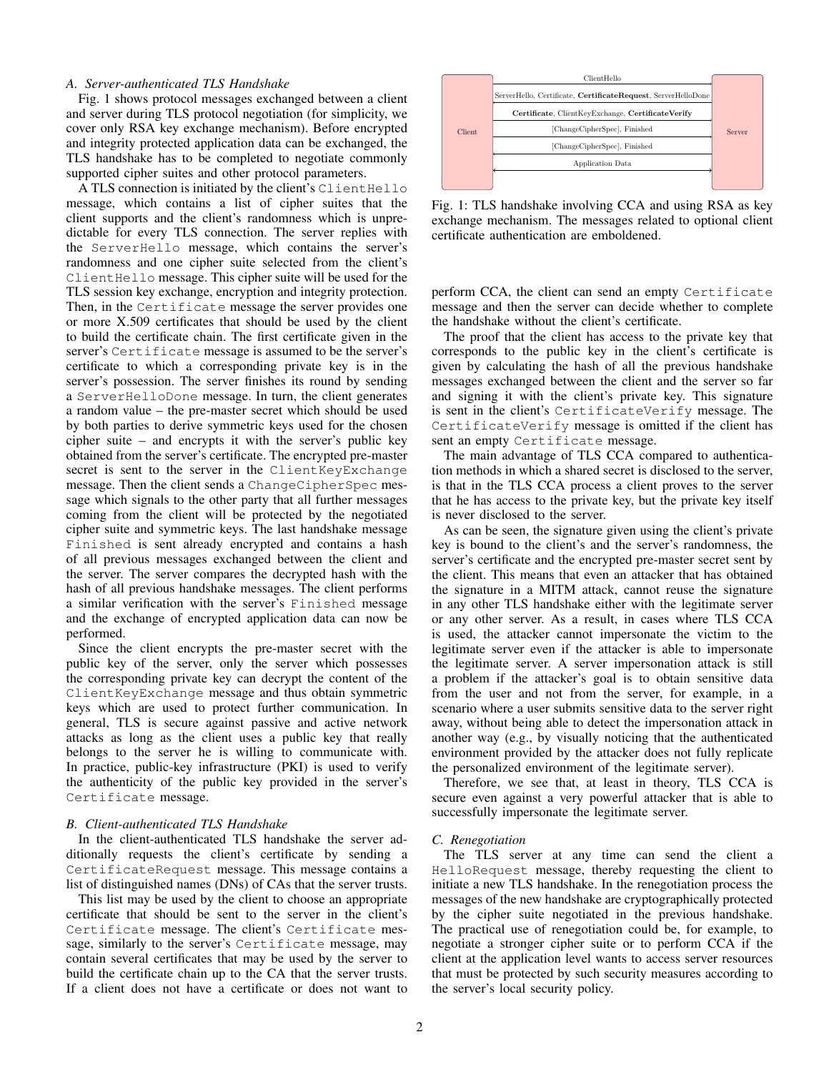#### *A. Server-authenticated TLS Handshake*

Fig. [1](#page-1-0) shows protocol messages exchanged between a client and server during TLS protocol negotiation (for simplicity, we cover only RSA key exchange mechanism). Before encrypted and integrity protected application data can be exchanged, the TLS handshake has to be completed to negotiate commonly supported cipher suites and other protocol parameters.

A TLS connection is initiated by the client's ClientHello message, which contains a list of cipher suites that the client supports and the client's randomness which is unpredictable for every TLS connection. The server replies with the ServerHello message, which contains the server's randomness and one cipher suite selected from the client's ClientHello message. This cipher suite will be used for the TLS session key exchange, encryption and integrity protection. Then, in the Certificate message the server provides one or more X.509 certificates that should be used by the client to build the certificate chain. The first certificate given in the server's Certificate message is assumed to be the server's certificate to which a corresponding private key is in the server's possession. The server finishes its round by sending a ServerHelloDone message. In turn, the client generates a random value – the pre-master secret which should be used by both parties to derive symmetric keys used for the chosen cipher suite – and encrypts it with the server's public key obtained from the server's certificate. The encrypted pre-master secret is sent to the server in the ClientKeyExchange message. Then the client sends a ChangeCipherSpec message which signals to the other party that all further messages coming from the client will be protected by the negotiated cipher suite and symmetric keys. The last handshake message Finished is sent already encrypted and contains a hash of all previous messages exchanged between the client and the server. The server compares the decrypted hash with the hash of all previous handshake messages. The client performs a similar verification with the server's Finished message and the exchange of encrypted application data can now be performed.

Since the client encrypts the pre-master secret with the public key of the server, only the server which possesses the corresponding private key can decrypt the content of the ClientKeyExchange message and thus obtain symmetric keys which are used to protect further communication. In general, TLS is secure against passive and active network attacks as long as the client uses a public key that really belongs to the server he is willing to communicate with. In practice, public-key infrastructure (PKI) is used to verify the authenticity of the public key provided in the server's Certificate message.

#### *B. Client-authenticated TLS Handshake*

In the client-authenticated TLS handshake the server additionally requests the client's certificate by sending a CertificateRequest message. This message contains a list of distinguished names (DNs) of CAs that the server trusts.

This list may be used by the client to choose an appropriate certificate that should be sent to the server in the client's Certificate message. The client's Certificate message, similarly to the server's Certificate message, may contain several certificates that may be used by the server to build the certificate chain up to the CA that the server trusts. If a client does not have a certificate or does not want to

<span id="page-1-0"></span>

Fig. 1: TLS handshake involving CCA and using RSA as key exchange mechanism. The messages related to optional client certificate authentication are emboldened.

perform CCA, the client can send an empty Certificate message and then the server can decide whether to complete the handshake without the client's certificate.

The proof that the client has access to the private key that corresponds to the public key in the client's certificate is given by calculating the hash of all the previous handshake messages exchanged between the client and the server so far and signing it with the client's private key. This signature is sent in the client's CertificateVerify message. The CertificateVerify message is omitted if the client has sent an empty Certificate message.

The main advantage of TLS CCA compared to authentication methods in which a shared secret is disclosed to the server, is that in the TLS CCA process a client proves to the server that he has access to the private key, but the private key itself is never disclosed to the server.

As can be seen, the signature given using the client's private key is bound to the client's and the server's randomness, the server's certificate and the encrypted pre-master secret sent by the client. This means that even an attacker that has obtained the signature in a MITM attack, cannot reuse the signature in any other TLS handshake either with the legitimate server or any other server. As a result, in cases where TLS CCA is used, the attacker cannot impersonate the victim to the legitimate server even if the attacker is able to impersonate the legitimate server. A server impersonation attack is still a problem if the attacker's goal is to obtain sensitive data from the user and not from the server, for example, in a scenario where a user submits sensitive data to the server right away, without being able to detect the impersonation attack in another way (e.g., by visually noticing that the authenticated environment provided by the attacker does not fully replicate the personalized environment of the legitimate server).

Therefore, we see that, at least in theory, TLS CCA is secure even against a very powerful attacker that is able to successfully impersonate the legitimate server.

#### *C. Renegotiation*

The TLS server at any time can send the client a HelloRequest message, thereby requesting the client to initiate a new TLS handshake. In the renegotiation process the messages of the new handshake are cryptographically protected by the cipher suite negotiated in the previous handshake. The practical use of renegotiation could be, for example, to negotiate a stronger cipher suite or to perform CCA if the client at the application level wants to access server resources that must be protected by such security measures according to the server's local security policy.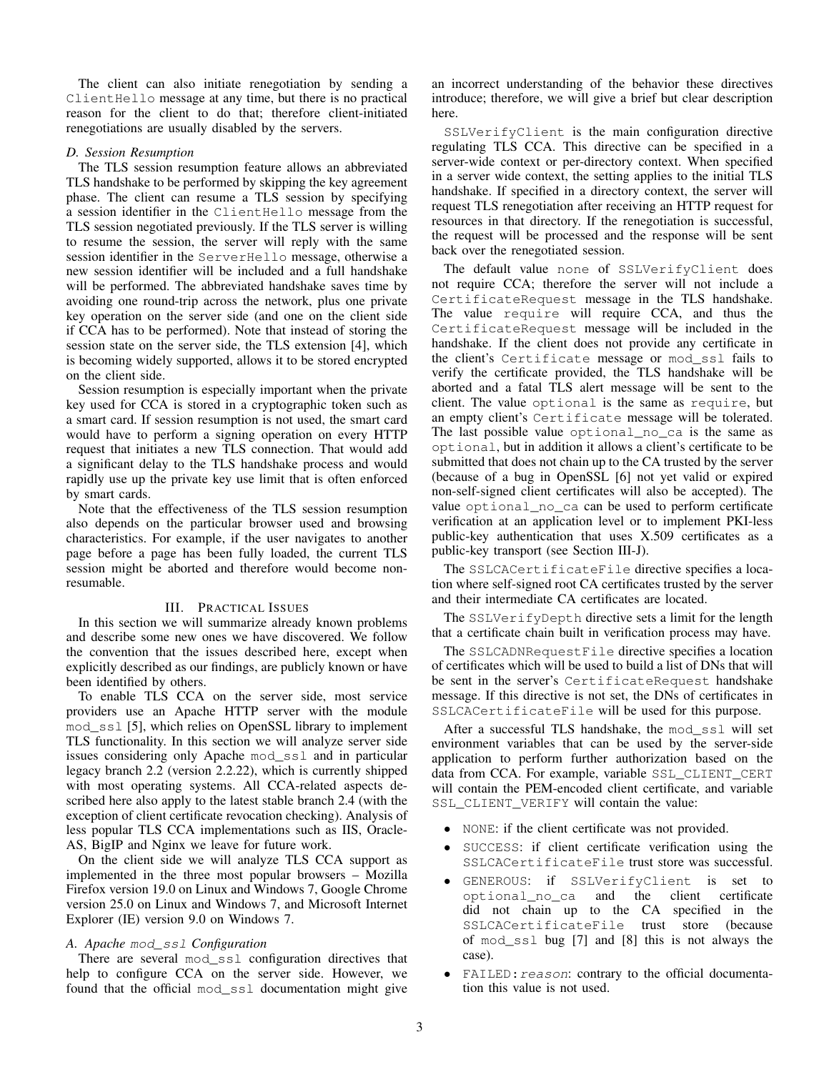The client can also initiate renegotiation by sending a ClientHello message at any time, but there is no practical reason for the client to do that; therefore client-initiated renegotiations are usually disabled by the servers.

#### *D. Session Resumption*

The TLS session resumption feature allows an abbreviated TLS handshake to be performed by skipping the key agreement phase. The client can resume a TLS session by specifying a session identifier in the ClientHello message from the TLS session negotiated previously. If the TLS server is willing to resume the session, the server will reply with the same session identifier in the ServerHello message, otherwise a new session identifier will be included and a full handshake will be performed. The abbreviated handshake saves time by avoiding one round-trip across the network, plus one private key operation on the server side (and one on the client side if CCA has to be performed). Note that instead of storing the session state on the server side, the TLS extension [\[4\]](#page-12-3), which is becoming widely supported, allows it to be stored encrypted on the client side.

Session resumption is especially important when the private key used for CCA is stored in a cryptographic token such as a smart card. If session resumption is not used, the smart card would have to perform a signing operation on every HTTP request that initiates a new TLS connection. That would add a significant delay to the TLS handshake process and would rapidly use up the private key use limit that is often enforced by smart cards.

Note that the effectiveness of the TLS session resumption also depends on the particular browser used and browsing characteristics. For example, if the user navigates to another page before a page has been fully loaded, the current TLS session might be aborted and therefore would become nonresumable.

#### III. PRACTICAL ISSUES

<span id="page-2-0"></span>In this section we will summarize already known problems and describe some new ones we have discovered. We follow the convention that the issues described here, except when explicitly described as our findings, are publicly known or have been identified by others.

To enable TLS CCA on the server side, most service providers use an Apache HTTP server with the module mod\_ssl [\[5\]](#page-12-4), which relies on OpenSSL library to implement TLS functionality. In this section we will analyze server side issues considering only Apache mod\_ssl and in particular legacy branch 2.2 (version 2.2.22), which is currently shipped with most operating systems. All CCA-related aspects described here also apply to the latest stable branch 2.4 (with the exception of client certificate revocation checking). Analysis of less popular TLS CCA implementations such as IIS, Oracle-AS, BigIP and Nginx we leave for future work.

On the client side we will analyze TLS CCA support as implemented in the three most popular browsers – Mozilla Firefox version 19.0 on Linux and Windows 7, Google Chrome version 25.0 on Linux and Windows 7, and Microsoft Internet Explorer (IE) version 9.0 on Windows 7.

#### <span id="page-2-1"></span>*A. Apache mod\_ssl Configuration*

There are several mod\_ssl configuration directives that help to configure CCA on the server side. However, we found that the official mod\_ssl documentation might give an incorrect understanding of the behavior these directives introduce; therefore, we will give a brief but clear description here.

SSLVerifyClient is the main configuration directive regulating TLS CCA. This directive can be specified in a server-wide context or per-directory context. When specified in a server wide context, the setting applies to the initial TLS handshake. If specified in a directory context, the server will request TLS renegotiation after receiving an HTTP request for resources in that directory. If the renegotiation is successful, the request will be processed and the response will be sent back over the renegotiated session.

The default value none of SSLVerifyClient does not require CCA; therefore the server will not include a CertificateRequest message in the TLS handshake. The value require will require CCA, and thus the CertificateRequest message will be included in the handshake. If the client does not provide any certificate in the client's Certificate message or mod\_ssl fails to verify the certificate provided, the TLS handshake will be aborted and a fatal TLS alert message will be sent to the client. The value optional is the same as require, but an empty client's Certificate message will be tolerated. The last possible value optional\_no\_ca is the same as optional, but in addition it allows a client's certificate to be submitted that does not chain up to the CA trusted by the server (because of a bug in OpenSSL [\[6\]](#page-12-5) not yet valid or expired non-self-signed client certificates will also be accepted). The value optional\_no\_ca can be used to perform certificate verification at an application level or to implement PKI-less public-key authentication that uses X.509 certificates as a public-key transport (see Section [III-J\)](#page-7-0).

The SSLCACertificateFile directive specifies a location where self-signed root CA certificates trusted by the server and their intermediate CA certificates are located.

The SSLVerifyDepth directive sets a limit for the length that a certificate chain built in verification process may have.

The SSLCADNRequestFile directive specifies a location of certificates which will be used to build a list of DNs that will be sent in the server's CertificateRequest handshake message. If this directive is not set, the DNs of certificates in SSLCACertificateFile will be used for this purpose.

After a successful TLS handshake, the mod ssl will set environment variables that can be used by the server-side application to perform further authorization based on the data from CCA. For example, variable SSL\_CLIENT\_CERT will contain the PEM-encoded client certificate, and variable SSL\_CLIENT\_VERIFY will contain the value:

- NONE: if the client certificate was not provided.
- *•* SUCCESS: if client certificate verification using the SSLCACertificateFile trust store was successful.
- *•* GENEROUS: if SSLVerifyClient is set to optional\_no\_ca and the client certificate did not chain up to the CA specified in the SSLCACertificateFile trust store (because of mod\_ssl bug [\[7\]](#page-12-6) and [\[8\]](#page-12-7) this is not always the case).
- *•* FAILED:*reason*: contrary to the official documentation this value is not used.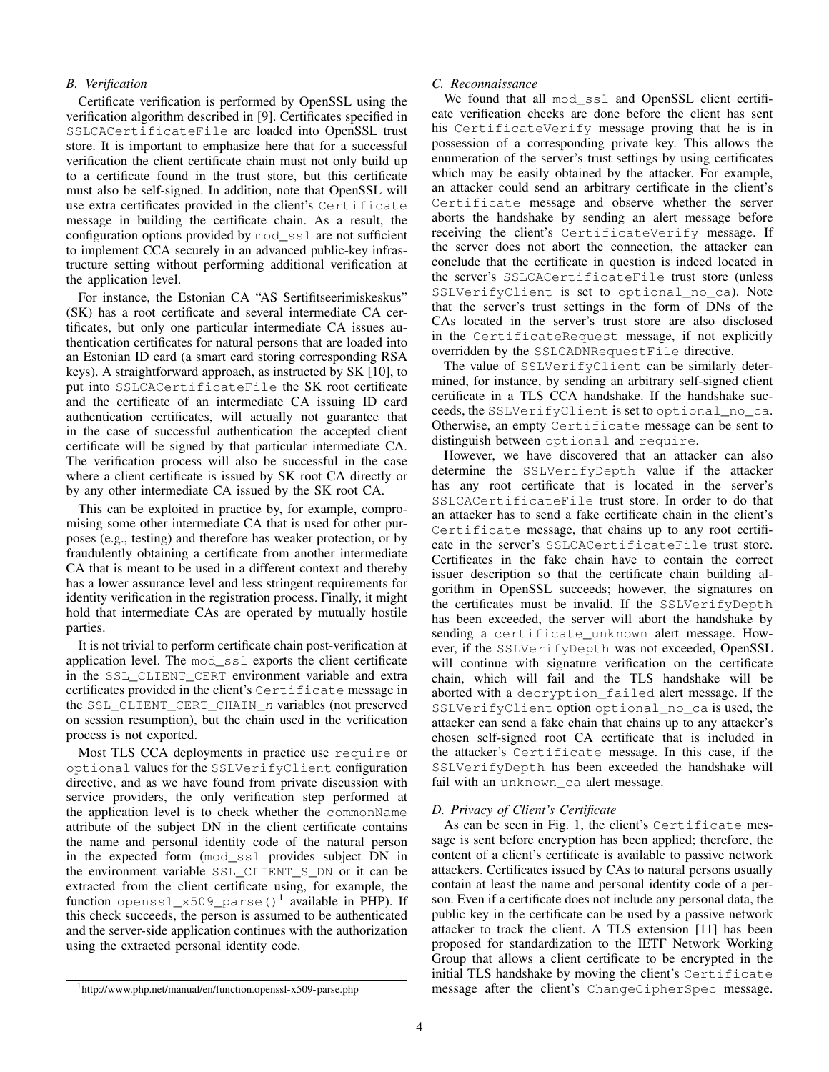#### <span id="page-3-1"></span>*B. Verification*

Certificate verification is performed by OpenSSL using the verification algorithm described in [\[9\]](#page-12-8). Certificates specified in SSLCACertificateFile are loaded into OpenSSL trust store. It is important to emphasize here that for a successful verification the client certificate chain must not only build up to a certificate found in the trust store, but this certificate must also be self-signed. In addition, note that OpenSSL will use extra certificates provided in the client's Certificate message in building the certificate chain. As a result, the configuration options provided by mod\_ssl are not sufficient to implement CCA securely in an advanced public-key infrastructure setting without performing additional verification at the application level.

For instance, the Estonian CA "AS Sertifitseerimiskeskus" (SK) has a root certificate and several intermediate CA certificates, but only one particular intermediate CA issues authentication certificates for natural persons that are loaded into an Estonian ID card (a smart card storing corresponding RSA keys). A straightforward approach, as instructed by SK [\[10\]](#page-12-9), to put into SSLCACertificateFile the SK root certificate and the certificate of an intermediate CA issuing ID card authentication certificates, will actually not guarantee that in the case of successful authentication the accepted client certificate will be signed by that particular intermediate CA. The verification process will also be successful in the case where a client certificate is issued by SK root CA directly or by any other intermediate CA issued by the SK root CA.

This can be exploited in practice by, for example, compromising some other intermediate CA that is used for other purposes (e.g., testing) and therefore has weaker protection, or by fraudulently obtaining a certificate from another intermediate CA that is meant to be used in a different context and thereby has a lower assurance level and less stringent requirements for identity verification in the registration process. Finally, it might hold that intermediate CAs are operated by mutually hostile parties.

It is not trivial to perform certificate chain post-verification at application level. The mod\_ssl exports the client certificate in the SSL\_CLIENT\_CERT environment variable and extra certificates provided in the client's Certificate message in the SSL\_CLIENT\_CERT\_CHAIN\_*n* variables (not preserved on session resumption), but the chain used in the verification process is not exported.

Most TLS CCA deployments in practice use require or optional values for the SSLVerifyClient configuration directive, and as we have found from private discussion with service providers, the only verification step performed at the application level is to check whether the commonName attribute of the subject DN in the client certificate contains the name and personal identity code of the natural person in the expected form (mod\_ssl provides subject DN in the environment variable SSL\_CLIENT\_S\_DN or it can be extracted from the client certificate using, for example, the function openssl\_x509\_parse()<sup>[1](#page-3-0)</sup> available in PHP). If this check succeeds, the person is assumed to be authenticated and the server-side application continues with the authorization using the extracted personal identity code.

<span id="page-3-2"></span>*C. Reconnaissance*

We found that all mod\_ssl and OpenSSL client certificate verification checks are done before the client has sent his CertificateVerify message proving that he is in possession of a corresponding private key. This allows the enumeration of the server's trust settings by using certificates which may be easily obtained by the attacker. For example, an attacker could send an arbitrary certificate in the client's Certificate message and observe whether the server aborts the handshake by sending an alert message before receiving the client's CertificateVerify message. If the server does not abort the connection, the attacker can conclude that the certificate in question is indeed located in the server's SSLCACertificateFile trust store (unless SSLVerifyClient is set to optional\_no\_ca). Note that the server's trust settings in the form of DNs of the CAs located in the server's trust store are also disclosed in the CertificateRequest message, if not explicitly overridden by the SSLCADNRequestFile directive.

The value of SSLVerifyClient can be similarly determined, for instance, by sending an arbitrary self-signed client certificate in a TLS CCA handshake. If the handshake succeeds, the SSLVerifyClient is set to optional\_no\_ca. Otherwise, an empty Certificate message can be sent to distinguish between optional and require.

However, we have discovered that an attacker can also determine the SSLVerifyDepth value if the attacker has any root certificate that is located in the server's SSLCACertificateFile trust store. In order to do that an attacker has to send a fake certificate chain in the client's Certificate message, that chains up to any root certificate in the server's SSLCACertificateFile trust store. Certificates in the fake chain have to contain the correct issuer description so that the certificate chain building algorithm in OpenSSL succeeds; however, the signatures on the certificates must be invalid. If the SSLVerifyDepth has been exceeded, the server will abort the handshake by sending a certificate\_unknown alert message. However, if the SSLVerifyDepth was not exceeded, OpenSSL will continue with signature verification on the certificate chain, which will fail and the TLS handshake will be aborted with a decryption\_failed alert message. If the SSLVerifyClient option optional\_no\_ca is used, the attacker can send a fake chain that chains up to any attacker's chosen self-signed root CA certificate that is included in the attacker's Certificate message. In this case, if the SSLVerifyDepth has been exceeded the handshake will fail with an unknown\_ca alert message.

#### <span id="page-3-3"></span>*D. Privacy of Client's Certificate*

As can be seen in Fig. [1,](#page-1-0) the client's Certificate message is sent before encryption has been applied; therefore, the content of a client's certificate is available to passive network attackers. Certificates issued by CAs to natural persons usually contain at least the name and personal identity code of a person. Even if a certificate does not include any personal data, the public key in the certificate can be used by a passive network attacker to track the client. A TLS extension [\[11\]](#page-12-10) has been proposed for standardization to the IETF Network Working Group that allows a client certificate to be encrypted in the initial TLS handshake by moving the client's Certificate message after the client's ChangeCipherSpec message.

<span id="page-3-0"></span>[<sup>1</sup>http://www.php.net/manual/en/function.openssl-x509-parse.php](http://www.php.net/manual/en/function.openssl-x509-parse.php)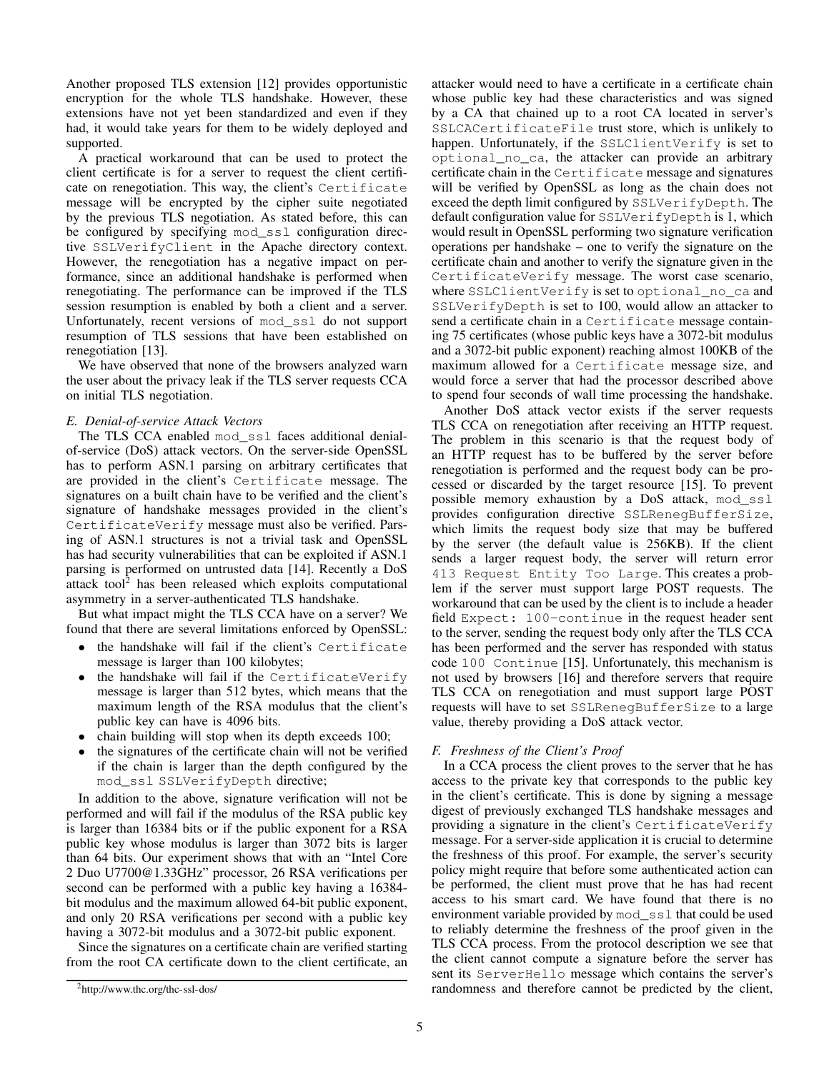Another proposed TLS extension [\[12\]](#page-12-11) provides opportunistic encryption for the whole TLS handshake. However, these extensions have not yet been standardized and even if they had, it would take years for them to be widely deployed and supported.

A practical workaround that can be used to protect the client certificate is for a server to request the client certificate on renegotiation. This way, the client's Certificate message will be encrypted by the cipher suite negotiated by the previous TLS negotiation. As stated before, this can be configured by specifying mod ssl configuration directive SSLVerifyClient in the Apache directory context. However, the renegotiation has a negative impact on performance, since an additional handshake is performed when renegotiating. The performance can be improved if the TLS session resumption is enabled by both a client and a server. Unfortunately, recent versions of mod\_ssl do not support resumption of TLS sessions that have been established on renegotiation [\[13\]](#page-12-12).

We have observed that none of the browsers analyzed warn the user about the privacy leak if the TLS server requests CCA on initial TLS negotiation.

#### *E. Denial-of-service Attack Vectors*

The TLS CCA enabled mod\_ssl faces additional denialof-service (DoS) attack vectors. On the server-side OpenSSL has to perform ASN.1 parsing on arbitrary certificates that are provided in the client's Certificate message. The signatures on a built chain have to be verified and the client's signature of handshake messages provided in the client's CertificateVerify message must also be verified. Parsing of ASN.1 structures is not a trivial task and OpenSSL has had security vulnerabilities that can be exploited if ASN.1 parsing is performed on untrusted data [\[14\]](#page-12-13). Recently a DoS attack tool $2$  has been released which exploits computational asymmetry in a server-authenticated TLS handshake.

But what impact might the TLS CCA have on a server? We found that there are several limitations enforced by OpenSSL:

- *•* the handshake will fail if the client's Certificate message is larger than 100 kilobytes;
- *•* the handshake will fail if the CertificateVerify message is larger than 512 bytes, which means that the maximum length of the RSA modulus that the client's public key can have is 4096 bits.
- *•* chain building will stop when its depth exceeds 100;
- *•* the signatures of the certificate chain will not be verified if the chain is larger than the depth configured by the mod\_ssl SSLVerifyDepth directive;

In addition to the above, signature verification will not be performed and will fail if the modulus of the RSA public key is larger than 16384 bits or if the public exponent for a RSA public key whose modulus is larger than 3072 bits is larger than 64 bits. Our experiment shows that with an "Intel Core 2 Duo U7700@1.33GHz" processor, 26 RSA verifications per second can be performed with a public key having a 16384 bit modulus and the maximum allowed 64-bit public exponent, and only 20 RSA verifications per second with a public key having a 3072-bit modulus and a 3072-bit public exponent.

Since the signatures on a certificate chain are verified starting from the root CA certificate down to the client certificate, an attacker would need to have a certificate in a certificate chain whose public key had these characteristics and was signed by a CA that chained up to a root CA located in server's SSLCACertificateFile trust store, which is unlikely to happen. Unfortunately, if the SSLClientVerify is set to optional\_no\_ca, the attacker can provide an arbitrary certificate chain in the Certificate message and signatures will be verified by OpenSSL as long as the chain does not exceed the depth limit configured by SSLVerifyDepth. The default configuration value for SSLVerifyDepth is 1, which would result in OpenSSL performing two signature verification operations per handshake – one to verify the signature on the certificate chain and another to verify the signature given in the CertificateVerify message. The worst case scenario, where SSLClientVerify is set to optional\_no\_ca and SSLVerifyDepth is set to 100, would allow an attacker to send a certificate chain in a Certificate message containing 75 certificates (whose public keys have a 3072-bit modulus and a 3072-bit public exponent) reaching almost 100KB of the maximum allowed for a Certificate message size, and would force a server that had the processor described above to spend four seconds of wall time processing the handshake.

Another DoS attack vector exists if the server requests TLS CCA on renegotiation after receiving an HTTP request. The problem in this scenario is that the request body of an HTTP request has to be buffered by the server before renegotiation is performed and the request body can be processed or discarded by the target resource [\[15\]](#page-12-14). To prevent possible memory exhaustion by a DoS attack, mod\_ssl provides configuration directive SSLRenegBufferSize, which limits the request body size that may be buffered by the server (the default value is 256KB). If the client sends a larger request body, the server will return error 413 Request Entity Too Large. This creates a problem if the server must support large POST requests. The workaround that can be used by the client is to include a header field Expect: 100-continue in the request header sent to the server, sending the request body only after the TLS CCA has been performed and the server has responded with status code 100 Continue [\[15\]](#page-12-14). Unfortunately, this mechanism is not used by browsers [\[16\]](#page-12-15) and therefore servers that require TLS CCA on renegotiation and must support large POST requests will have to set SSLRenegBufferSize to a large value, thereby providing a DoS attack vector.

#### <span id="page-4-1"></span>*F. Freshness of the Client's Proof*

In a CCA process the client proves to the server that he has access to the private key that corresponds to the public key in the client's certificate. This is done by signing a message digest of previously exchanged TLS handshake messages and providing a signature in the client's CertificateVerify message. For a server-side application it is crucial to determine the freshness of this proof. For example, the server's security policy might require that before some authenticated action can be performed, the client must prove that he has had recent access to his smart card. We have found that there is no environment variable provided by mod\_ssl that could be used to reliably determine the freshness of the proof given in the TLS CCA process. From the protocol description we see that the client cannot compute a signature before the server has sent its ServerHello message which contains the server's randomness and therefore cannot be predicted by the client,

<span id="page-4-0"></span>[<sup>2</sup>http://www.thc.org/thc-ssl-dos/](http://www.thc.org/thc-ssl-dos/)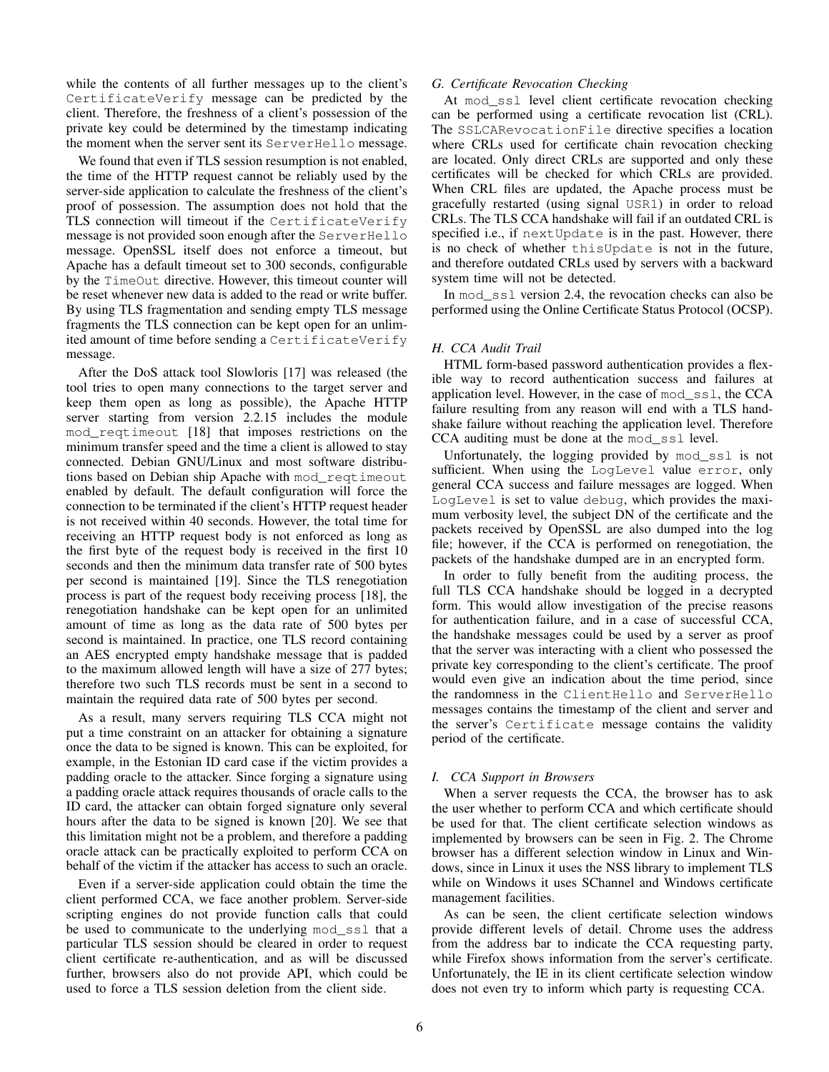while the contents of all further messages up to the client's CertificateVerify message can be predicted by the client. Therefore, the freshness of a client's possession of the private key could be determined by the timestamp indicating the moment when the server sent its ServerHello message.

We found that even if TLS session resumption is not enabled, the time of the HTTP request cannot be reliably used by the server-side application to calculate the freshness of the client's proof of possession. The assumption does not hold that the TLS connection will timeout if the CertificateVerify message is not provided soon enough after the ServerHello message. OpenSSL itself does not enforce a timeout, but Apache has a default timeout set to 300 seconds, configurable by the TimeOut directive. However, this timeout counter will be reset whenever new data is added to the read or write buffer. By using TLS fragmentation and sending empty TLS message fragments the TLS connection can be kept open for an unlimited amount of time before sending a CertificateVerify message.

After the DoS attack tool Slowloris [\[17\]](#page-12-16) was released (the tool tries to open many connections to the target server and keep them open as long as possible), the Apache HTTP server starting from version 2.2.15 includes the module mod\_reqtimeout [\[18\]](#page-12-17) that imposes restrictions on the minimum transfer speed and the time a client is allowed to stay connected. Debian GNU/Linux and most software distributions based on Debian ship Apache with mod\_reqtimeout enabled by default. The default configuration will force the connection to be terminated if the client's HTTP request header is not received within 40 seconds. However, the total time for receiving an HTTP request body is not enforced as long as the first byte of the request body is received in the first 10 seconds and then the minimum data transfer rate of 500 bytes per second is maintained [\[19\]](#page-12-18). Since the TLS renegotiation process is part of the request body receiving process [\[18\]](#page-12-17), the renegotiation handshake can be kept open for an unlimited amount of time as long as the data rate of 500 bytes per second is maintained. In practice, one TLS record containing an AES encrypted empty handshake message that is padded to the maximum allowed length will have a size of 277 bytes; therefore two such TLS records must be sent in a second to maintain the required data rate of 500 bytes per second.

As a result, many servers requiring TLS CCA might not put a time constraint on an attacker for obtaining a signature once the data to be signed is known. This can be exploited, for example, in the Estonian ID card case if the victim provides a padding oracle to the attacker. Since forging a signature using a padding oracle attack requires thousands of oracle calls to the ID card, the attacker can obtain forged signature only several hours after the data to be signed is known [\[20\]](#page-12-19). We see that this limitation might not be a problem, and therefore a padding oracle attack can be practically exploited to perform CCA on behalf of the victim if the attacker has access to such an oracle.

Even if a server-side application could obtain the time the client performed CCA, we face another problem. Server-side scripting engines do not provide function calls that could be used to communicate to the underlying mod\_ssl that a particular TLS session should be cleared in order to request client certificate re-authentication, and as will be discussed further, browsers also do not provide API, which could be used to force a TLS session deletion from the client side.

#### *G. Certificate Revocation Checking*

At mod ssl level client certificate revocation checking can be performed using a certificate revocation list (CRL). The SSLCARevocationFile directive specifies a location where CRLs used for certificate chain revocation checking are located. Only direct CRLs are supported and only these certificates will be checked for which CRLs are provided. When CRL files are updated, the Apache process must be gracefully restarted (using signal USR1) in order to reload CRLs. The TLS CCA handshake will fail if an outdated CRL is specified i.e., if nextUpdate is in the past. However, there is no check of whether thisUpdate is not in the future, and therefore outdated CRLs used by servers with a backward system time will not be detected.

In mod\_ssl version 2.4, the revocation checks can also be performed using the Online Certificate Status Protocol (OCSP).

#### <span id="page-5-1"></span>*H. CCA Audit Trail*

HTML form-based password authentication provides a flexible way to record authentication success and failures at application level. However, in the case of mod\_ssl, the CCA failure resulting from any reason will end with a TLS handshake failure without reaching the application level. Therefore CCA auditing must be done at the mod\_ssl level.

Unfortunately, the logging provided by mod\_ssl is not sufficient. When using the LogLevel value error, only general CCA success and failure messages are logged. When LogLevel is set to value debug, which provides the maximum verbosity level, the subject DN of the certificate and the packets received by OpenSSL are also dumped into the log file; however, if the CCA is performed on renegotiation, the packets of the handshake dumped are in an encrypted form.

In order to fully benefit from the auditing process, the full TLS CCA handshake should be logged in a decrypted form. This would allow investigation of the precise reasons for authentication failure, and in a case of successful CCA, the handshake messages could be used by a server as proof that the server was interacting with a client who possessed the private key corresponding to the client's certificate. The proof would even give an indication about the time period, since the randomness in the ClientHello and ServerHello messages contains the timestamp of the client and server and the server's Certificate message contains the validity period of the certificate.

#### <span id="page-5-0"></span>*I. CCA Support in Browsers*

When a server requests the CCA, the browser has to ask the user whether to perform CCA and which certificate should be used for that. The client certificate selection windows as implemented by browsers can be seen in Fig. [2.](#page-6-0) The Chrome browser has a different selection window in Linux and Windows, since in Linux it uses the NSS library to implement TLS while on Windows it uses SChannel and Windows certificate management facilities.

As can be seen, the client certificate selection windows provide different levels of detail. Chrome uses the address from the address bar to indicate the CCA requesting party, while Firefox shows information from the server's certificate. Unfortunately, the IE in its client certificate selection window does not even try to inform which party is requesting CCA.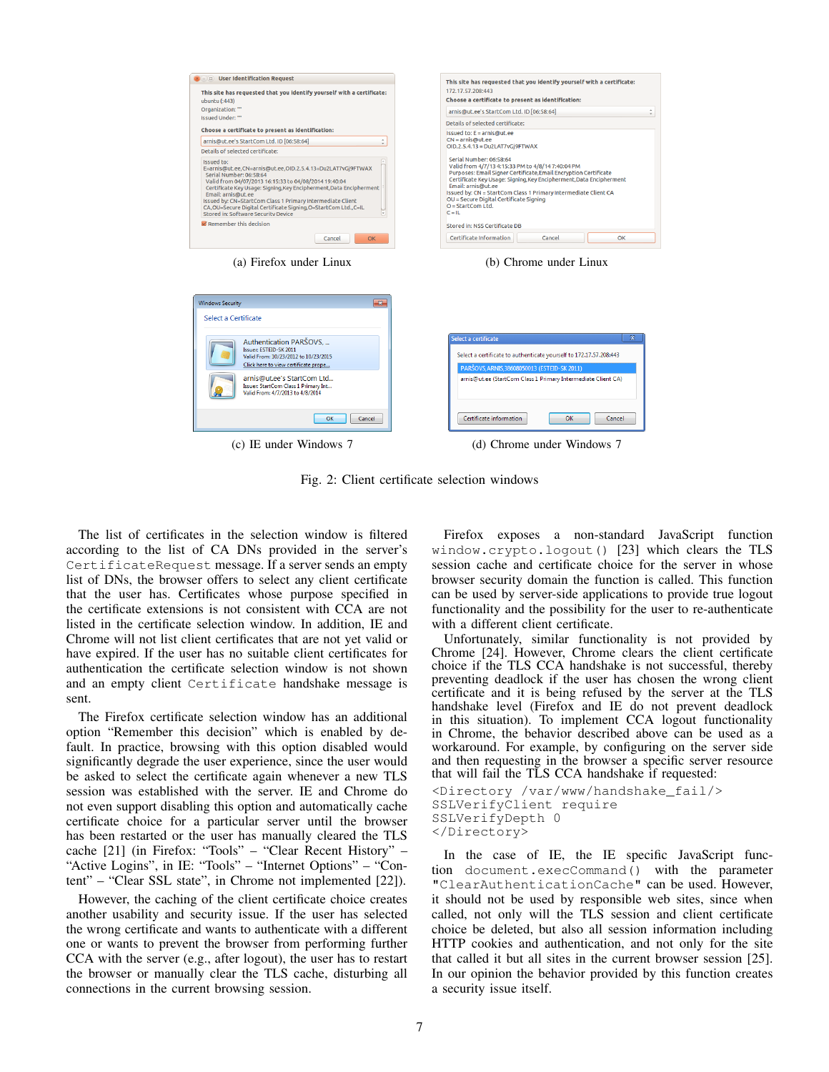<span id="page-6-0"></span>

(a) Firefox under Linux (b) Chrome under Linux

| <b>Windows Security</b>                                                                                | $\overline{\mathbf{x}}$ |
|--------------------------------------------------------------------------------------------------------|-------------------------|
| Select a Certificate                                                                                   |                         |
| Authentication PARŠOVS                                                                                 |                         |
| Issuer: ESTEID-SK 2011<br>Valid From: 10/23/2012 to 10/23/2015                                         |                         |
| Click here to view certificate prope                                                                   |                         |
| arnis@ut.ee's StartCom Ltd<br>Issuer: StartCom Class 1 Primary Int<br>Valid From: 4/7/2013 to 4/8/2014 |                         |
| OK<br>Cancel                                                                                           |                         |

(c) IE under Windows 7 (d) Chrome under Windows 7

Fig. 2: Client certificate selection windows

The list of certificates in the selection window is filtered according to the list of CA DNs provided in the server's CertificateRequest message. If a server sends an empty list of DNs, the browser offers to select any client certificate that the user has. Certificates whose purpose specified in the certificate extensions is not consistent with CCA are not listed in the certificate selection window. In addition, IE and Chrome will not list client certificates that are not yet valid or have expired. If the user has no suitable client certificates for authentication the certificate selection window is not shown and an empty client Certificate handshake message is sent.

The Firefox certificate selection window has an additional option "Remember this decision" which is enabled by default. In practice, browsing with this option disabled would significantly degrade the user experience, since the user would be asked to select the certificate again whenever a new TLS session was established with the server. IE and Chrome do not even support disabling this option and automatically cache certificate choice for a particular server until the browser has been restarted or the user has manually cleared the TLS cache [\[21\]](#page-12-20) (in Firefox: "Tools" – "Clear Recent History" – "Active Logins", in IE: "Tools" – "Internet Options" – "Content" – "Clear SSL state", in Chrome not implemented [\[22\]](#page-12-21)).

However, the caching of the client certificate choice creates another usability and security issue. If the user has selected the wrong certificate and wants to authenticate with a different one or wants to prevent the browser from performing further CCA with the server (e.g., after logout), the user has to restart the browser or manually clear the TLS cache, disturbing all connections in the current browsing session.

Firefox exposes a non-standard JavaScript function window.crypto.logout() [\[23\]](#page-12-22) which clears the TLS session cache and certificate choice for the server in whose browser security domain the function is called. This function can be used by server-side applications to provide true logout functionality and the possibility for the user to re-authenticate with a different client certificate.

Unfortunately, similar functionality is not provided by Chrome [\[24\]](#page-12-23). However, Chrome clears the client certificate choice if the TLS CCA handshake is not successful, thereby preventing deadlock if the user has chosen the wrong client certificate and it is being refused by the server at the TLS handshake level (Firefox and IE do not prevent deadlock in this situation). To implement CCA logout functionality in Chrome, the behavior described above can be used as a workaround. For example, by configuring on the server side and then requesting in the browser a specific server resource that will fail the TLS CCA handshake if requested:

```
<Directory /var/www/handshake_fail/>
SSLVerifyClient require
SSLVerifyDepth 0
</Directory>
```
In the case of IE, the IE specific JavaScript function document.execCommand() with the parameter "ClearAuthenticationCache" can be used. However, it should not be used by responsible web sites, since when called, not only will the TLS session and client certificate choice be deleted, but also all session information including HTTP cookies and authentication, and not only for the site that called it but all sites in the current browser session [\[25\]](#page-12-24). In our opinion the behavior provided by this function creates a security issue itself.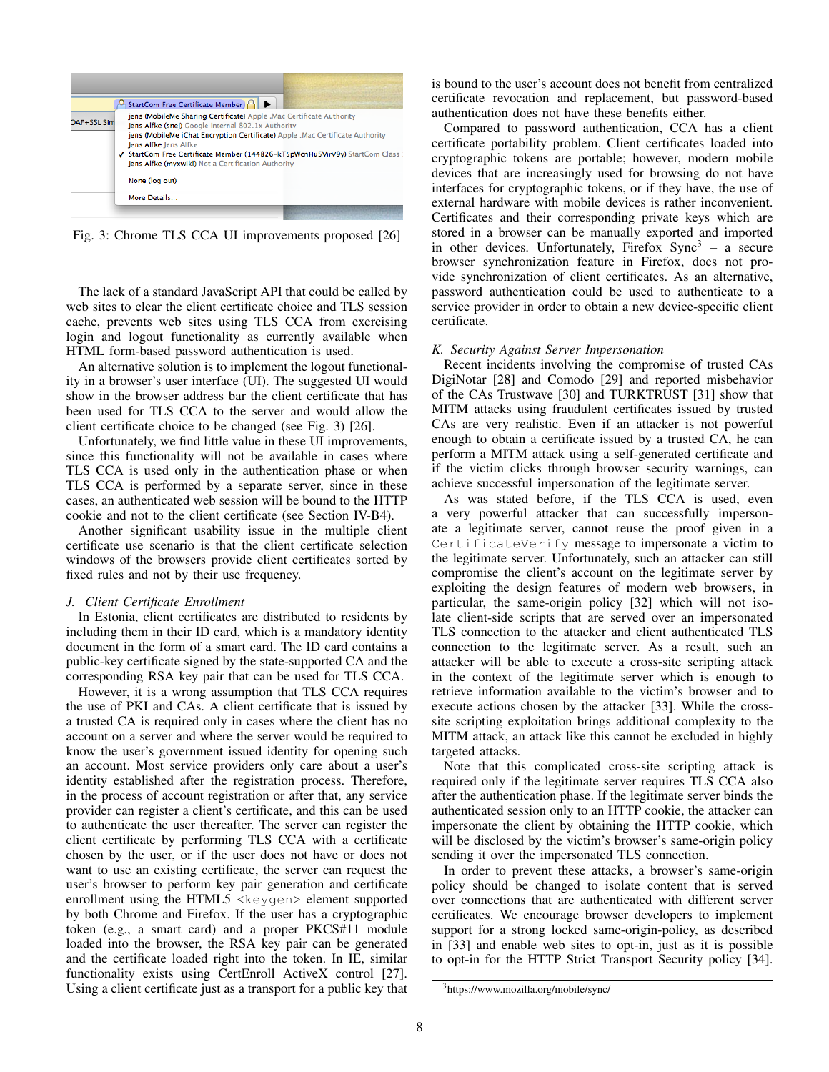<span id="page-7-1"></span>

Fig. 3: Chrome TLS CCA UI improvements proposed [\[26\]](#page-12-25)

The lack of a standard JavaScript API that could be called by web sites to clear the client certificate choice and TLS session cache, prevents web sites using TLS CCA from exercising login and logout functionality as currently available when HTML form-based password authentication is used.

An alternative solution is to implement the logout functionality in a browser's user interface (UI). The suggested UI would show in the browser address bar the client certificate that has been used for TLS CCA to the server and would allow the client certificate choice to be changed (see Fig. [3\)](#page-7-1) [\[26\]](#page-12-25).

Unfortunately, we find little value in these UI improvements, since this functionality will not be available in cases where TLS CCA is used only in the authentication phase or when TLS CCA is performed by a separate server, since in these cases, an authenticated web session will be bound to the HTTP cookie and not to the client certificate (see Section [IV-B4\)](#page-9-0).

Another significant usability issue in the multiple client certificate use scenario is that the client certificate selection windows of the browsers provide client certificates sorted by fixed rules and not by their use frequency.

#### <span id="page-7-0"></span>*J. Client Certificate Enrollment*

In Estonia, client certificates are distributed to residents by including them in their ID card, which is a mandatory identity document in the form of a smart card. The ID card contains a public-key certificate signed by the state-supported CA and the corresponding RSA key pair that can be used for TLS CCA.

However, it is a wrong assumption that TLS CCA requires the use of PKI and CAs. A client certificate that is issued by a trusted CA is required only in cases where the client has no account on a server and where the server would be required to know the user's government issued identity for opening such an account. Most service providers only care about a user's identity established after the registration process. Therefore, in the process of account registration or after that, any service provider can register a client's certificate, and this can be used to authenticate the user thereafter. The server can register the client certificate by performing TLS CCA with a certificate chosen by the user, or if the user does not have or does not want to use an existing certificate, the server can request the user's browser to perform key pair generation and certificate enrollment using the HTML5 <keygen> element supported by both Chrome and Firefox. If the user has a cryptographic token (e.g., a smart card) and a proper PKCS#11 module loaded into the browser, the RSA key pair can be generated and the certificate loaded right into the token. In IE, similar functionality exists using CertEnroll ActiveX control [\[27\]](#page-12-26). Using a client certificate just as a transport for a public key that is bound to the user's account does not benefit from centralized certificate revocation and replacement, but password-based authentication does not have these benefits either.

Compared to password authentication, CCA has a client certificate portability problem. Client certificates loaded into cryptographic tokens are portable; however, modern mobile devices that are increasingly used for browsing do not have interfaces for cryptographic tokens, or if they have, the use of external hardware with mobile devices is rather inconvenient. Certificates and their corresponding private keys which are stored in a browser can be manually exported and imported in other devices. Unfortunately, Firefox  $Sync<sup>3</sup> - a$  secure browser synchronization feature in Firefox, does not provide synchronization of client certificates. As an alternative, password authentication could be used to authenticate to a service provider in order to obtain a new device-specific client certificate.

#### *K. Security Against Server Impersonation*

Recent incidents involving the compromise of trusted CAs DigiNotar [\[28\]](#page-12-27) and Comodo [\[29\]](#page-12-28) and reported misbehavior of the CAs Trustwave [\[30\]](#page-12-29) and TURKTRUST [\[31\]](#page-12-30) show that MITM attacks using fraudulent certificates issued by trusted CAs are very realistic. Even if an attacker is not powerful enough to obtain a certificate issued by a trusted CA, he can perform a MITM attack using a self-generated certificate and if the victim clicks through browser security warnings, can achieve successful impersonation of the legitimate server.

As was stated before, if the TLS CCA is used, even a very powerful attacker that can successfully impersonate a legitimate server, cannot reuse the proof given in a CertificateVerify message to impersonate a victim to the legitimate server. Unfortunately, such an attacker can still compromise the client's account on the legitimate server by exploiting the design features of modern web browsers, in particular, the same-origin policy [\[32\]](#page-12-31) which will not isolate client-side scripts that are served over an impersonated TLS connection to the attacker and client authenticated TLS connection to the legitimate server. As a result, such an attacker will be able to execute a cross-site scripting attack in the context of the legitimate server which is enough to retrieve information available to the victim's browser and to execute actions chosen by the attacker [\[33\]](#page-12-32). While the crosssite scripting exploitation brings additional complexity to the MITM attack, an attack like this cannot be excluded in highly targeted attacks.

Note that this complicated cross-site scripting attack is required only if the legitimate server requires TLS CCA also after the authentication phase. If the legitimate server binds the authenticated session only to an HTTP cookie, the attacker can impersonate the client by obtaining the HTTP cookie, which will be disclosed by the victim's browser's same-origin policy sending it over the impersonated TLS connection.

In order to prevent these attacks, a browser's same-origin policy should be changed to isolate content that is served over connections that are authenticated with different server certificates. We encourage browser developers to implement support for a strong locked same-origin-policy, as described in [\[33\]](#page-12-32) and enable web sites to opt-in, just as it is possible to opt-in for the HTTP Strict Transport Security policy [\[34\]](#page-12-33).

<span id="page-7-2"></span>[<sup>3</sup>https://www.mozilla.org/mobile/sync/](https://www.mozilla.org/mobile/sync/)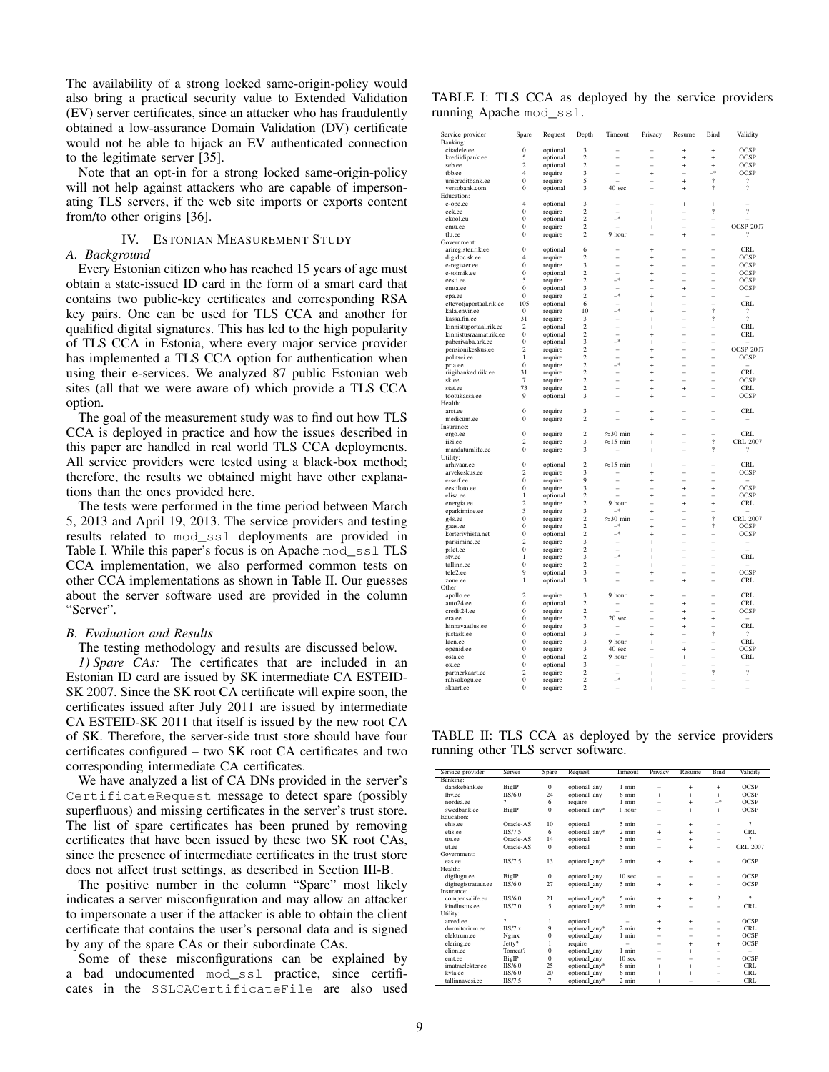The availability of a strong locked same-origin-policy would also bring a practical security value to Extended Validation (EV) server certificates, since an attacker who has fraudulently obtained a low-assurance Domain Validation (DV) certificate would not be able to hijack an EV authenticated connection to the legitimate server [\[35\]](#page-12-34).

Note that an opt-in for a strong locked same-origin-policy will not help against attackers who are capable of impersonating TLS servers, if the web site imports or exports content from/to other origins [\[36\]](#page-12-35).

## IV. ESTONIAN MEASUREMENT STUDY

### <span id="page-8-0"></span>*A. Background*

Every Estonian citizen who has reached 15 years of age must obtain a state-issued ID card in the form of a smart card that contains two public-key certificates and corresponding RSA key pairs. One can be used for TLS CCA and another for qualified digital signatures. This has led to the high popularity of TLS CCA in Estonia, where every major service provider has implemented a TLS CCA option for authentication when using their e-services. We analyzed 87 public Estonian web sites (all that we were aware of) which provide a TLS CCA option.

The goal of the measurement study was to find out how TLS CCA is deployed in practice and how the issues described in this paper are handled in real world TLS CCA deployments. All service providers were tested using a black-box method; therefore, the results we obtained might have other explanations than the ones provided here.

The tests were performed in the time period between March 5, 2013 and April 19, 2013. The service providers and testing results related to mod\_ssl deployments are provided in Table [I.](#page-8-1) While this paper's focus is on Apache mod\_ssl TLS CCA implementation, we also performed common tests on other CCA implementations as shown in Table [II.](#page-8-2) Our guesses about the server software used are provided in the column "Server".

#### *B. Evaluation and Results*

The testing methodology and results are discussed below.

*1) Spare CAs:* The certificates that are included in an Estonian ID card are issued by SK intermediate CA ESTEID-SK 2007. Since the SK root CA certificate will expire soon, the certificates issued after July 2011 are issued by intermediate CA ESTEID-SK 2011 that itself is issued by the new root CA of SK. Therefore, the server-side trust store should have four certificates configured – two SK root CA certificates and two corresponding intermediate CA certificates.

We have analyzed a list of CA DNs provided in the server's CertificateRequest message to detect spare (possibly superfluous) and missing certificates in the server's trust store. The list of spare certificates has been pruned by removing certificates that have been issued by these two SK root CAs, since the presence of intermediate certificates in the trust store does not affect trust settings, as described in Section [III-B.](#page-3-1)

The positive number in the column "Spare" most likely indicates a server misconfiguration and may allow an attacker to impersonate a user if the attacker is able to obtain the client certificate that contains the user's personal data and is signed by any of the spare CAs or their subordinate CAs.

Some of these misconfigurations can be explained by a bad undocumented mod\_ssl practice, since certificates in the SSLCACertificateFile are also used

<span id="page-8-1"></span>TABLE I: TLS CCA as deployed by the service providers running Apache mod\_ssl.

| Banking:<br>3<br>OCSP<br>citadele.ee<br>$\overline{0}$<br>optional<br>$\ddot{}$<br>$\ddot{}$<br>$\overline{c}$<br>5<br>OCSP<br>krediidipank.ee<br>optional<br>÷<br>$\ddot{}$<br>$\overline{c}$<br>$\overline{c}$<br>OCSP<br>seb.ee<br>optional<br>÷<br>$\ddot{}$<br>$-$ *<br>3<br>$\overline{4}$<br>OCSP<br>tbb.ee<br>require<br>$\overline{?}$<br>unicreditbank.ee<br>$\overline{0}$<br>5<br>$\ddot{}$<br>?<br>require<br>$\overline{?}$<br>$\overline{0}$<br>3<br>$\overline{?}$<br>versobank.com<br>optional<br>40 sec<br>$\ddot{}$<br>Education:<br>$\overline{4}$<br>3<br>e-ope.ee<br>optional<br>÷<br>÷.<br>$\overline{?}$<br>$\overline{?}$<br>$\overline{0}$<br>$\overline{c}$<br>eek.ee<br>require<br>$\ddot{}$<br>$\overline{a}$<br>$\overline{a}$<br>$\overline{0}$<br>optional<br>$\overline{c}$<br>×<br>ekool.eu<br>$\ddot{}$<br>L.<br>$\overline{0}$<br>$\overline{c}$<br><b>OCSP 2007</b><br>emu.ee<br>require<br>$\ddot{}$<br>$\theta$<br>$\overline{c}$<br>9 hour<br>$\ddot{}$<br>2<br>tlu.ee<br>require<br>Government:<br>$\overline{0}$<br>6<br><b>CRL</b><br>ariregister.rik.ee<br>optional<br>÷.<br>digidoc.sk.ee<br>$\overline{4}$<br>$\overline{c}$<br>OCSP<br>require<br>$\ddot{}$<br>÷.<br>i.<br>$\overline{0}$<br>require<br>3<br>$\overline{a}$<br>OCSP<br>e-register.ee<br>$\ddot{}$<br>L,<br>$\overline{a}$<br>e-toimik.ee<br>$\theta$<br>optional<br>$\overline{c}$<br>$\overline{a}$<br>OCSP<br>$\ddot{}$<br>$\overline{\phantom{0}}$<br>$\overline{c}$<br>_*<br>eesti.ee<br>require<br>$\overline{a}$<br>OCSP<br>$\ddot{}$<br>$\overline{+}$<br>$\theta$<br>$\overline{3}$<br>optional<br>$\overline{a}$<br>OCSP<br>emta.ee<br>$\overline{\mathcal{L}}$<br>$\overline{0}$<br>require<br>$\overline{a}$<br>÷<br>epa.ee<br>105<br>6<br><b>CRL</b><br>ettevotjaportaal.rik.ee<br>optional<br>$\ddot{}$<br>L,<br>$\overline{?}$<br>10<br>kala.envir.ee<br>$\mathbf{0}$<br>require<br>÷<br>9<br>$\overline{\mathbf{3}}$<br>$\overline{?}$<br>9<br>31<br>kassa.fin.ee<br>require<br>÷<br>$\overline{c}$<br><b>CRL</b><br>$\overline{2}$<br>kinnistuportaal.rik.ee<br>optional<br>$\ddot{}$<br>L.<br>$\overline{0}$<br>$\overline{c}$<br><b>CRL</b><br>$\ddot{}$<br>kinnistusraamat.rik.ee<br>optional<br>L.<br>3<br>$\theta$<br>$\ddot{}$<br>paberivaba.ark.ee<br>optional<br>L,<br>$\overline{c}$<br>$\overline{c}$<br><b>OCSP 2007</b><br>$\ddot{}$<br>pensionikeskus.ee<br>require<br>$\overline{a}$<br>$\overline{c}$<br>$\mathbf{1}$<br>$\ddot{}$<br>$\overline{a}$<br>OCSP<br>politsei.ee<br>require<br>$\overline{c}$<br>þ,<br>$\overline{0}$<br>$\ddot{}$<br>$\overline{a}$<br>pria.ee<br>require<br>$\overline{c}$<br>31<br>riigihanked.riik.ee<br>$\ddot{}$<br>$\overline{a}$<br><b>CRL</b><br>require<br>$\overline{c}$<br>$\overline{7}$<br>$\ddot{}$<br>$\overline{a}$<br>OCSP<br>sk.ee<br>require<br>$\overline{c}$<br>$\ddot{}$<br>73<br>stat.ee<br>require<br>L<br><b>CRL</b><br>$\overline{\mathbf{3}}$<br>tootukassa.ee<br>9<br>optional<br>÷.<br>÷<br>OCSP<br>Health:<br>$\Omega$<br>3<br><b>CRL</b><br>arst.ee<br>require<br>$\ddot{}$<br>$\overline{0}$<br>$\overline{\mathcal{L}}$<br>medicum.ee<br>require<br>$\ddot{}$<br>Insurance:<br>$\overline{0}$<br>$\overline{c}$<br>$\approx$ 30 min<br><b>CRL</b><br>ergo.ee<br>require<br>$\ddot{}$<br><sup>2</sup><br>$\overline{c}$<br>3<br>$\approx$ 15 min<br><b>CRL 2007</b><br>iizi.ee<br>require<br>$\ddot{}$<br>$\overline{?}$<br>mandatumlife.ee<br>$\overline{0}$<br>require<br>3<br>÷<br>?<br>Utility:<br>arhivaar.ee<br>$\theta$<br>optional<br>$\overline{c}$<br>$\approx$ 15 min<br><b>CRL</b><br>$\ddot{}$<br>$\overline{3}$<br>arvekeskus.ee<br>$\overline{c}$<br>require<br>$\overline{a}$<br>OCSP<br>$\ddot{}$<br>$\overline{0}$<br>e-seif.ee<br>require<br>9<br>$\ddot{}$<br>$\ddot{}$<br>3<br>$\ddot{}$<br>OCSP<br>eestiloto.ee<br>$\overline{0}$<br>require<br>$\overline{c}$<br>$\mathbf{1}$<br>OCSP<br>elisa.ee<br>optional<br>$\ddot{}$<br>i.<br>$^{+}$<br>$\ddot{}$<br>$\overline{c}$<br>$\overline{2}$<br>require<br>9 hour<br><b>CRL</b><br>energia.ee<br>$\overline{\mathbf{3}}$<br>$\overline{\mathbf{3}}$<br>eparkimine.ee<br>require<br>$-$ *<br>$\ddot{}$<br>$\overline{?}$<br>$\overline{0}$<br>$\overline{c}$<br>$\approx$ 30 min<br><b>CRL 2007</b><br>g4s.ee<br>require<br>$\overline{?}$<br>$\overline{0}$<br>$\overline{2}$<br>$\rightarrow$<br>OCSP<br>gaas.ee<br>require<br>$\ddot{}$<br>$\overline{0}$<br>$\overline{c}$<br>$\rightarrow$<br>korteriyhistu.net<br>OCSP<br>optional<br>$\ddot{}$<br>$      -$<br>$\overline{c}$<br>3<br>parkimine.ee<br>require<br>$\ddot{}$<br>$\overline{0}$<br>$\overline{c}$<br>pilet.ee<br>require<br>÷<br>۳<br>3<br><b>CRL</b><br>$\,1$<br>stv.ee<br>require<br>÷<br>$\bf{0}$<br>$\overline{c}$<br>tallinn.ee<br>require<br>÷<br>$\overline{9}$<br>3<br>OCSP<br>tele2.ee<br>÷<br>optional<br>$\overline{1}$<br>$\mathbf{1}$<br>$\overline{3}$<br><b>CRL</b><br>zone.ee<br>optional<br>Other:<br>$\overline{c}$<br>3<br><b>CRL</b><br>apollo.ee<br>require<br>9 hour<br>÷<br>$\bf{0}$<br>$\overline{c}$<br>auto24.ee<br>optional<br>÷<br><b>CRL</b><br>$\overline{c}$<br>credit24.ee<br>$\bf{0}$<br>require<br>÷<br>OCSP<br>$\overline{c}$<br>$\ddot{}$<br>$\bf{0}$<br>era.ee<br>require<br>20 sec<br>÷<br>3<br><b>CRL</b><br>$\bf{0}$<br>hinnavaatlus.ee<br>require<br>$\ddot{}$<br>$\overline{?}$<br>$\overline{0}$<br>optional<br>3<br>$\overline{?}$<br>justask.ee<br>÷<br>$\overline{0}$<br>3<br>9 hour<br><b>CRL</b><br>laen.ee<br>require<br>÷<br>÷<br>$\ddot{}$<br>openid.ee<br>$\overline{0}$<br>3<br>40 sec<br>OCSP<br>require<br>$\overline{0}$<br>$\overline{c}$<br>9 hour<br><b>CRL</b><br>osta.ee<br>optional<br>÷<br>$\bf{0}$<br>optional<br>3<br>ox.ee<br>÷<br>$\overline{?}$<br>$\overline{?}$<br>partnerkaart.ee<br>$\overline{c}$<br>$\overline{c}$<br>require<br>÷<br>$\rightarrow$<br>$\overline{0}$<br>$\overline{c}$<br>i.<br>rahvakogu.ee<br>require<br>$\ddot{}$<br>i.<br>i.<br>skaart.ee<br>$\overline{0}$<br>$\overline{c}$<br>require<br>÷,<br>$\ddot{}$ | Service provider | Spare | Request | Depth | Timeout | Privacy | Resume | <b>Bind</b> | Validity |
|---------------------------------------------------------------------------------------------------------------------------------------------------------------------------------------------------------------------------------------------------------------------------------------------------------------------------------------------------------------------------------------------------------------------------------------------------------------------------------------------------------------------------------------------------------------------------------------------------------------------------------------------------------------------------------------------------------------------------------------------------------------------------------------------------------------------------------------------------------------------------------------------------------------------------------------------------------------------------------------------------------------------------------------------------------------------------------------------------------------------------------------------------------------------------------------------------------------------------------------------------------------------------------------------------------------------------------------------------------------------------------------------------------------------------------------------------------------------------------------------------------------------------------------------------------------------------------------------------------------------------------------------------------------------------------------------------------------------------------------------------------------------------------------------------------------------------------------------------------------------------------------------------------------------------------------------------------------------------------------------------------------------------------------------------------------------------------------------------------------------------------------------------------------------------------------------------------------------------------------------------------------------------------------------------------------------------------------------------------------------------------------------------------------------------------------------------------------------------------------------------------------------------------------------------------------------------------------------------------------------------------------------------------------------------------------------------------------------------------------------------------------------------------------------------------------------------------------------------------------------------------------------------------------------------------------------------------------------------------------------------------------------------------------------------------------------------------------------------------------------------------------------------------------------------------------------------------------------------------------------------------------------------------------------------------------------------------------------------------------------------------------------------------------------------------------------------------------------------------------------------------------------------------------------------------------------------------------------------------------------------------------------------------------------------------------------------------------------------------------------------------------------------------------------------------------------------------------------------------------------------------------------------------------------------------------------------------------------------------------------------------------------------------------------------------------------------------------------------------------------------------------------------------------------------------------------------------------------------------------------------------------------------------------------------------------------------------------------------------------------------------------------------------------------------------------------------------------------------------------------------------------------------------------------------------------------------------------------------------------------------------------------------------------------------------------------------------------------------------------------------------------------------------------------------------------------------------------------------------------------------------------------------------------------------------------------------------------------------------------------------------------------------------------------------------------------------------------------------------------------------------------------------------------------------------------------------------------------------------------------------------------------------------------------------------------------------------------------------------------------------------------------------------------------------------------------------------------------------------------------------------------------------------------------------------------------------------------------------------------------------------------------------------------------------------------------------------------------------------------------------------------------------------------------------------------------------------------------------------------------------------------------------------------------------------------------------------------------------------------------------------------------------------------------------------------|------------------|-------|---------|-------|---------|---------|--------|-------------|----------|
|                                                                                                                                                                                                                                                                                                                                                                                                                                                                                                                                                                                                                                                                                                                                                                                                                                                                                                                                                                                                                                                                                                                                                                                                                                                                                                                                                                                                                                                                                                                                                                                                                                                                                                                                                                                                                                                                                                                                                                                                                                                                                                                                                                                                                                                                                                                                                                                                                                                                                                                                                                                                                                                                                                                                                                                                                                                                                                                                                                                                                                                                                                                                                                                                                                                                                                                                                                                                                                                                                                                                                                                                                                                                                                                                                                                                                                                                                                                                                                                                                                                                                                                                                                                                                                                                                                                                                                                                                                                                                                                                                                                                                                                                                                                                                                                                                                                                                                                                                                                                                                                                                                                                                                                                                                                                                                                                                                                                                                                                                                                                                                                                                                                                                                                                                                                                                                                                                                                                                                                                                                                               |                  |       |         |       |         |         |        |             |          |
|                                                                                                                                                                                                                                                                                                                                                                                                                                                                                                                                                                                                                                                                                                                                                                                                                                                                                                                                                                                                                                                                                                                                                                                                                                                                                                                                                                                                                                                                                                                                                                                                                                                                                                                                                                                                                                                                                                                                                                                                                                                                                                                                                                                                                                                                                                                                                                                                                                                                                                                                                                                                                                                                                                                                                                                                                                                                                                                                                                                                                                                                                                                                                                                                                                                                                                                                                                                                                                                                                                                                                                                                                                                                                                                                                                                                                                                                                                                                                                                                                                                                                                                                                                                                                                                                                                                                                                                                                                                                                                                                                                                                                                                                                                                                                                                                                                                                                                                                                                                                                                                                                                                                                                                                                                                                                                                                                                                                                                                                                                                                                                                                                                                                                                                                                                                                                                                                                                                                                                                                                                                               |                  |       |         |       |         |         |        |             |          |
|                                                                                                                                                                                                                                                                                                                                                                                                                                                                                                                                                                                                                                                                                                                                                                                                                                                                                                                                                                                                                                                                                                                                                                                                                                                                                                                                                                                                                                                                                                                                                                                                                                                                                                                                                                                                                                                                                                                                                                                                                                                                                                                                                                                                                                                                                                                                                                                                                                                                                                                                                                                                                                                                                                                                                                                                                                                                                                                                                                                                                                                                                                                                                                                                                                                                                                                                                                                                                                                                                                                                                                                                                                                                                                                                                                                                                                                                                                                                                                                                                                                                                                                                                                                                                                                                                                                                                                                                                                                                                                                                                                                                                                                                                                                                                                                                                                                                                                                                                                                                                                                                                                                                                                                                                                                                                                                                                                                                                                                                                                                                                                                                                                                                                                                                                                                                                                                                                                                                                                                                                                                               |                  |       |         |       |         |         |        |             |          |
|                                                                                                                                                                                                                                                                                                                                                                                                                                                                                                                                                                                                                                                                                                                                                                                                                                                                                                                                                                                                                                                                                                                                                                                                                                                                                                                                                                                                                                                                                                                                                                                                                                                                                                                                                                                                                                                                                                                                                                                                                                                                                                                                                                                                                                                                                                                                                                                                                                                                                                                                                                                                                                                                                                                                                                                                                                                                                                                                                                                                                                                                                                                                                                                                                                                                                                                                                                                                                                                                                                                                                                                                                                                                                                                                                                                                                                                                                                                                                                                                                                                                                                                                                                                                                                                                                                                                                                                                                                                                                                                                                                                                                                                                                                                                                                                                                                                                                                                                                                                                                                                                                                                                                                                                                                                                                                                                                                                                                                                                                                                                                                                                                                                                                                                                                                                                                                                                                                                                                                                                                                                               |                  |       |         |       |         |         |        |             |          |
|                                                                                                                                                                                                                                                                                                                                                                                                                                                                                                                                                                                                                                                                                                                                                                                                                                                                                                                                                                                                                                                                                                                                                                                                                                                                                                                                                                                                                                                                                                                                                                                                                                                                                                                                                                                                                                                                                                                                                                                                                                                                                                                                                                                                                                                                                                                                                                                                                                                                                                                                                                                                                                                                                                                                                                                                                                                                                                                                                                                                                                                                                                                                                                                                                                                                                                                                                                                                                                                                                                                                                                                                                                                                                                                                                                                                                                                                                                                                                                                                                                                                                                                                                                                                                                                                                                                                                                                                                                                                                                                                                                                                                                                                                                                                                                                                                                                                                                                                                                                                                                                                                                                                                                                                                                                                                                                                                                                                                                                                                                                                                                                                                                                                                                                                                                                                                                                                                                                                                                                                                                                               |                  |       |         |       |         |         |        |             |          |
|                                                                                                                                                                                                                                                                                                                                                                                                                                                                                                                                                                                                                                                                                                                                                                                                                                                                                                                                                                                                                                                                                                                                                                                                                                                                                                                                                                                                                                                                                                                                                                                                                                                                                                                                                                                                                                                                                                                                                                                                                                                                                                                                                                                                                                                                                                                                                                                                                                                                                                                                                                                                                                                                                                                                                                                                                                                                                                                                                                                                                                                                                                                                                                                                                                                                                                                                                                                                                                                                                                                                                                                                                                                                                                                                                                                                                                                                                                                                                                                                                                                                                                                                                                                                                                                                                                                                                                                                                                                                                                                                                                                                                                                                                                                                                                                                                                                                                                                                                                                                                                                                                                                                                                                                                                                                                                                                                                                                                                                                                                                                                                                                                                                                                                                                                                                                                                                                                                                                                                                                                                                               |                  |       |         |       |         |         |        |             |          |
|                                                                                                                                                                                                                                                                                                                                                                                                                                                                                                                                                                                                                                                                                                                                                                                                                                                                                                                                                                                                                                                                                                                                                                                                                                                                                                                                                                                                                                                                                                                                                                                                                                                                                                                                                                                                                                                                                                                                                                                                                                                                                                                                                                                                                                                                                                                                                                                                                                                                                                                                                                                                                                                                                                                                                                                                                                                                                                                                                                                                                                                                                                                                                                                                                                                                                                                                                                                                                                                                                                                                                                                                                                                                                                                                                                                                                                                                                                                                                                                                                                                                                                                                                                                                                                                                                                                                                                                                                                                                                                                                                                                                                                                                                                                                                                                                                                                                                                                                                                                                                                                                                                                                                                                                                                                                                                                                                                                                                                                                                                                                                                                                                                                                                                                                                                                                                                                                                                                                                                                                                                                               |                  |       |         |       |         |         |        |             |          |
|                                                                                                                                                                                                                                                                                                                                                                                                                                                                                                                                                                                                                                                                                                                                                                                                                                                                                                                                                                                                                                                                                                                                                                                                                                                                                                                                                                                                                                                                                                                                                                                                                                                                                                                                                                                                                                                                                                                                                                                                                                                                                                                                                                                                                                                                                                                                                                                                                                                                                                                                                                                                                                                                                                                                                                                                                                                                                                                                                                                                                                                                                                                                                                                                                                                                                                                                                                                                                                                                                                                                                                                                                                                                                                                                                                                                                                                                                                                                                                                                                                                                                                                                                                                                                                                                                                                                                                                                                                                                                                                                                                                                                                                                                                                                                                                                                                                                                                                                                                                                                                                                                                                                                                                                                                                                                                                                                                                                                                                                                                                                                                                                                                                                                                                                                                                                                                                                                                                                                                                                                                                               |                  |       |         |       |         |         |        |             |          |
|                                                                                                                                                                                                                                                                                                                                                                                                                                                                                                                                                                                                                                                                                                                                                                                                                                                                                                                                                                                                                                                                                                                                                                                                                                                                                                                                                                                                                                                                                                                                                                                                                                                                                                                                                                                                                                                                                                                                                                                                                                                                                                                                                                                                                                                                                                                                                                                                                                                                                                                                                                                                                                                                                                                                                                                                                                                                                                                                                                                                                                                                                                                                                                                                                                                                                                                                                                                                                                                                                                                                                                                                                                                                                                                                                                                                                                                                                                                                                                                                                                                                                                                                                                                                                                                                                                                                                                                                                                                                                                                                                                                                                                                                                                                                                                                                                                                                                                                                                                                                                                                                                                                                                                                                                                                                                                                                                                                                                                                                                                                                                                                                                                                                                                                                                                                                                                                                                                                                                                                                                                                               |                  |       |         |       |         |         |        |             |          |
|                                                                                                                                                                                                                                                                                                                                                                                                                                                                                                                                                                                                                                                                                                                                                                                                                                                                                                                                                                                                                                                                                                                                                                                                                                                                                                                                                                                                                                                                                                                                                                                                                                                                                                                                                                                                                                                                                                                                                                                                                                                                                                                                                                                                                                                                                                                                                                                                                                                                                                                                                                                                                                                                                                                                                                                                                                                                                                                                                                                                                                                                                                                                                                                                                                                                                                                                                                                                                                                                                                                                                                                                                                                                                                                                                                                                                                                                                                                                                                                                                                                                                                                                                                                                                                                                                                                                                                                                                                                                                                                                                                                                                                                                                                                                                                                                                                                                                                                                                                                                                                                                                                                                                                                                                                                                                                                                                                                                                                                                                                                                                                                                                                                                                                                                                                                                                                                                                                                                                                                                                                                               |                  |       |         |       |         |         |        |             |          |
|                                                                                                                                                                                                                                                                                                                                                                                                                                                                                                                                                                                                                                                                                                                                                                                                                                                                                                                                                                                                                                                                                                                                                                                                                                                                                                                                                                                                                                                                                                                                                                                                                                                                                                                                                                                                                                                                                                                                                                                                                                                                                                                                                                                                                                                                                                                                                                                                                                                                                                                                                                                                                                                                                                                                                                                                                                                                                                                                                                                                                                                                                                                                                                                                                                                                                                                                                                                                                                                                                                                                                                                                                                                                                                                                                                                                                                                                                                                                                                                                                                                                                                                                                                                                                                                                                                                                                                                                                                                                                                                                                                                                                                                                                                                                                                                                                                                                                                                                                                                                                                                                                                                                                                                                                                                                                                                                                                                                                                                                                                                                                                                                                                                                                                                                                                                                                                                                                                                                                                                                                                                               |                  |       |         |       |         |         |        |             |          |
|                                                                                                                                                                                                                                                                                                                                                                                                                                                                                                                                                                                                                                                                                                                                                                                                                                                                                                                                                                                                                                                                                                                                                                                                                                                                                                                                                                                                                                                                                                                                                                                                                                                                                                                                                                                                                                                                                                                                                                                                                                                                                                                                                                                                                                                                                                                                                                                                                                                                                                                                                                                                                                                                                                                                                                                                                                                                                                                                                                                                                                                                                                                                                                                                                                                                                                                                                                                                                                                                                                                                                                                                                                                                                                                                                                                                                                                                                                                                                                                                                                                                                                                                                                                                                                                                                                                                                                                                                                                                                                                                                                                                                                                                                                                                                                                                                                                                                                                                                                                                                                                                                                                                                                                                                                                                                                                                                                                                                                                                                                                                                                                                                                                                                                                                                                                                                                                                                                                                                                                                                                                               |                  |       |         |       |         |         |        |             |          |
|                                                                                                                                                                                                                                                                                                                                                                                                                                                                                                                                                                                                                                                                                                                                                                                                                                                                                                                                                                                                                                                                                                                                                                                                                                                                                                                                                                                                                                                                                                                                                                                                                                                                                                                                                                                                                                                                                                                                                                                                                                                                                                                                                                                                                                                                                                                                                                                                                                                                                                                                                                                                                                                                                                                                                                                                                                                                                                                                                                                                                                                                                                                                                                                                                                                                                                                                                                                                                                                                                                                                                                                                                                                                                                                                                                                                                                                                                                                                                                                                                                                                                                                                                                                                                                                                                                                                                                                                                                                                                                                                                                                                                                                                                                                                                                                                                                                                                                                                                                                                                                                                                                                                                                                                                                                                                                                                                                                                                                                                                                                                                                                                                                                                                                                                                                                                                                                                                                                                                                                                                                                               |                  |       |         |       |         |         |        |             |          |
|                                                                                                                                                                                                                                                                                                                                                                                                                                                                                                                                                                                                                                                                                                                                                                                                                                                                                                                                                                                                                                                                                                                                                                                                                                                                                                                                                                                                                                                                                                                                                                                                                                                                                                                                                                                                                                                                                                                                                                                                                                                                                                                                                                                                                                                                                                                                                                                                                                                                                                                                                                                                                                                                                                                                                                                                                                                                                                                                                                                                                                                                                                                                                                                                                                                                                                                                                                                                                                                                                                                                                                                                                                                                                                                                                                                                                                                                                                                                                                                                                                                                                                                                                                                                                                                                                                                                                                                                                                                                                                                                                                                                                                                                                                                                                                                                                                                                                                                                                                                                                                                                                                                                                                                                                                                                                                                                                                                                                                                                                                                                                                                                                                                                                                                                                                                                                                                                                                                                                                                                                                                               |                  |       |         |       |         |         |        |             |          |
|                                                                                                                                                                                                                                                                                                                                                                                                                                                                                                                                                                                                                                                                                                                                                                                                                                                                                                                                                                                                                                                                                                                                                                                                                                                                                                                                                                                                                                                                                                                                                                                                                                                                                                                                                                                                                                                                                                                                                                                                                                                                                                                                                                                                                                                                                                                                                                                                                                                                                                                                                                                                                                                                                                                                                                                                                                                                                                                                                                                                                                                                                                                                                                                                                                                                                                                                                                                                                                                                                                                                                                                                                                                                                                                                                                                                                                                                                                                                                                                                                                                                                                                                                                                                                                                                                                                                                                                                                                                                                                                                                                                                                                                                                                                                                                                                                                                                                                                                                                                                                                                                                                                                                                                                                                                                                                                                                                                                                                                                                                                                                                                                                                                                                                                                                                                                                                                                                                                                                                                                                                                               |                  |       |         |       |         |         |        |             |          |
|                                                                                                                                                                                                                                                                                                                                                                                                                                                                                                                                                                                                                                                                                                                                                                                                                                                                                                                                                                                                                                                                                                                                                                                                                                                                                                                                                                                                                                                                                                                                                                                                                                                                                                                                                                                                                                                                                                                                                                                                                                                                                                                                                                                                                                                                                                                                                                                                                                                                                                                                                                                                                                                                                                                                                                                                                                                                                                                                                                                                                                                                                                                                                                                                                                                                                                                                                                                                                                                                                                                                                                                                                                                                                                                                                                                                                                                                                                                                                                                                                                                                                                                                                                                                                                                                                                                                                                                                                                                                                                                                                                                                                                                                                                                                                                                                                                                                                                                                                                                                                                                                                                                                                                                                                                                                                                                                                                                                                                                                                                                                                                                                                                                                                                                                                                                                                                                                                                                                                                                                                                                               |                  |       |         |       |         |         |        |             |          |
|                                                                                                                                                                                                                                                                                                                                                                                                                                                                                                                                                                                                                                                                                                                                                                                                                                                                                                                                                                                                                                                                                                                                                                                                                                                                                                                                                                                                                                                                                                                                                                                                                                                                                                                                                                                                                                                                                                                                                                                                                                                                                                                                                                                                                                                                                                                                                                                                                                                                                                                                                                                                                                                                                                                                                                                                                                                                                                                                                                                                                                                                                                                                                                                                                                                                                                                                                                                                                                                                                                                                                                                                                                                                                                                                                                                                                                                                                                                                                                                                                                                                                                                                                                                                                                                                                                                                                                                                                                                                                                                                                                                                                                                                                                                                                                                                                                                                                                                                                                                                                                                                                                                                                                                                                                                                                                                                                                                                                                                                                                                                                                                                                                                                                                                                                                                                                                                                                                                                                                                                                                                               |                  |       |         |       |         |         |        |             |          |
|                                                                                                                                                                                                                                                                                                                                                                                                                                                                                                                                                                                                                                                                                                                                                                                                                                                                                                                                                                                                                                                                                                                                                                                                                                                                                                                                                                                                                                                                                                                                                                                                                                                                                                                                                                                                                                                                                                                                                                                                                                                                                                                                                                                                                                                                                                                                                                                                                                                                                                                                                                                                                                                                                                                                                                                                                                                                                                                                                                                                                                                                                                                                                                                                                                                                                                                                                                                                                                                                                                                                                                                                                                                                                                                                                                                                                                                                                                                                                                                                                                                                                                                                                                                                                                                                                                                                                                                                                                                                                                                                                                                                                                                                                                                                                                                                                                                                                                                                                                                                                                                                                                                                                                                                                                                                                                                                                                                                                                                                                                                                                                                                                                                                                                                                                                                                                                                                                                                                                                                                                                                               |                  |       |         |       |         |         |        |             |          |
|                                                                                                                                                                                                                                                                                                                                                                                                                                                                                                                                                                                                                                                                                                                                                                                                                                                                                                                                                                                                                                                                                                                                                                                                                                                                                                                                                                                                                                                                                                                                                                                                                                                                                                                                                                                                                                                                                                                                                                                                                                                                                                                                                                                                                                                                                                                                                                                                                                                                                                                                                                                                                                                                                                                                                                                                                                                                                                                                                                                                                                                                                                                                                                                                                                                                                                                                                                                                                                                                                                                                                                                                                                                                                                                                                                                                                                                                                                                                                                                                                                                                                                                                                                                                                                                                                                                                                                                                                                                                                                                                                                                                                                                                                                                                                                                                                                                                                                                                                                                                                                                                                                                                                                                                                                                                                                                                                                                                                                                                                                                                                                                                                                                                                                                                                                                                                                                                                                                                                                                                                                                               |                  |       |         |       |         |         |        |             |          |
|                                                                                                                                                                                                                                                                                                                                                                                                                                                                                                                                                                                                                                                                                                                                                                                                                                                                                                                                                                                                                                                                                                                                                                                                                                                                                                                                                                                                                                                                                                                                                                                                                                                                                                                                                                                                                                                                                                                                                                                                                                                                                                                                                                                                                                                                                                                                                                                                                                                                                                                                                                                                                                                                                                                                                                                                                                                                                                                                                                                                                                                                                                                                                                                                                                                                                                                                                                                                                                                                                                                                                                                                                                                                                                                                                                                                                                                                                                                                                                                                                                                                                                                                                                                                                                                                                                                                                                                                                                                                                                                                                                                                                                                                                                                                                                                                                                                                                                                                                                                                                                                                                                                                                                                                                                                                                                                                                                                                                                                                                                                                                                                                                                                                                                                                                                                                                                                                                                                                                                                                                                                               |                  |       |         |       |         |         |        |             |          |
|                                                                                                                                                                                                                                                                                                                                                                                                                                                                                                                                                                                                                                                                                                                                                                                                                                                                                                                                                                                                                                                                                                                                                                                                                                                                                                                                                                                                                                                                                                                                                                                                                                                                                                                                                                                                                                                                                                                                                                                                                                                                                                                                                                                                                                                                                                                                                                                                                                                                                                                                                                                                                                                                                                                                                                                                                                                                                                                                                                                                                                                                                                                                                                                                                                                                                                                                                                                                                                                                                                                                                                                                                                                                                                                                                                                                                                                                                                                                                                                                                                                                                                                                                                                                                                                                                                                                                                                                                                                                                                                                                                                                                                                                                                                                                                                                                                                                                                                                                                                                                                                                                                                                                                                                                                                                                                                                                                                                                                                                                                                                                                                                                                                                                                                                                                                                                                                                                                                                                                                                                                                               |                  |       |         |       |         |         |        |             |          |
|                                                                                                                                                                                                                                                                                                                                                                                                                                                                                                                                                                                                                                                                                                                                                                                                                                                                                                                                                                                                                                                                                                                                                                                                                                                                                                                                                                                                                                                                                                                                                                                                                                                                                                                                                                                                                                                                                                                                                                                                                                                                                                                                                                                                                                                                                                                                                                                                                                                                                                                                                                                                                                                                                                                                                                                                                                                                                                                                                                                                                                                                                                                                                                                                                                                                                                                                                                                                                                                                                                                                                                                                                                                                                                                                                                                                                                                                                                                                                                                                                                                                                                                                                                                                                                                                                                                                                                                                                                                                                                                                                                                                                                                                                                                                                                                                                                                                                                                                                                                                                                                                                                                                                                                                                                                                                                                                                                                                                                                                                                                                                                                                                                                                                                                                                                                                                                                                                                                                                                                                                                                               |                  |       |         |       |         |         |        |             |          |
|                                                                                                                                                                                                                                                                                                                                                                                                                                                                                                                                                                                                                                                                                                                                                                                                                                                                                                                                                                                                                                                                                                                                                                                                                                                                                                                                                                                                                                                                                                                                                                                                                                                                                                                                                                                                                                                                                                                                                                                                                                                                                                                                                                                                                                                                                                                                                                                                                                                                                                                                                                                                                                                                                                                                                                                                                                                                                                                                                                                                                                                                                                                                                                                                                                                                                                                                                                                                                                                                                                                                                                                                                                                                                                                                                                                                                                                                                                                                                                                                                                                                                                                                                                                                                                                                                                                                                                                                                                                                                                                                                                                                                                                                                                                                                                                                                                                                                                                                                                                                                                                                                                                                                                                                                                                                                                                                                                                                                                                                                                                                                                                                                                                                                                                                                                                                                                                                                                                                                                                                                                                               |                  |       |         |       |         |         |        |             |          |
|                                                                                                                                                                                                                                                                                                                                                                                                                                                                                                                                                                                                                                                                                                                                                                                                                                                                                                                                                                                                                                                                                                                                                                                                                                                                                                                                                                                                                                                                                                                                                                                                                                                                                                                                                                                                                                                                                                                                                                                                                                                                                                                                                                                                                                                                                                                                                                                                                                                                                                                                                                                                                                                                                                                                                                                                                                                                                                                                                                                                                                                                                                                                                                                                                                                                                                                                                                                                                                                                                                                                                                                                                                                                                                                                                                                                                                                                                                                                                                                                                                                                                                                                                                                                                                                                                                                                                                                                                                                                                                                                                                                                                                                                                                                                                                                                                                                                                                                                                                                                                                                                                                                                                                                                                                                                                                                                                                                                                                                                                                                                                                                                                                                                                                                                                                                                                                                                                                                                                                                                                                                               |                  |       |         |       |         |         |        |             |          |
|                                                                                                                                                                                                                                                                                                                                                                                                                                                                                                                                                                                                                                                                                                                                                                                                                                                                                                                                                                                                                                                                                                                                                                                                                                                                                                                                                                                                                                                                                                                                                                                                                                                                                                                                                                                                                                                                                                                                                                                                                                                                                                                                                                                                                                                                                                                                                                                                                                                                                                                                                                                                                                                                                                                                                                                                                                                                                                                                                                                                                                                                                                                                                                                                                                                                                                                                                                                                                                                                                                                                                                                                                                                                                                                                                                                                                                                                                                                                                                                                                                                                                                                                                                                                                                                                                                                                                                                                                                                                                                                                                                                                                                                                                                                                                                                                                                                                                                                                                                                                                                                                                                                                                                                                                                                                                                                                                                                                                                                                                                                                                                                                                                                                                                                                                                                                                                                                                                                                                                                                                                                               |                  |       |         |       |         |         |        |             |          |
|                                                                                                                                                                                                                                                                                                                                                                                                                                                                                                                                                                                                                                                                                                                                                                                                                                                                                                                                                                                                                                                                                                                                                                                                                                                                                                                                                                                                                                                                                                                                                                                                                                                                                                                                                                                                                                                                                                                                                                                                                                                                                                                                                                                                                                                                                                                                                                                                                                                                                                                                                                                                                                                                                                                                                                                                                                                                                                                                                                                                                                                                                                                                                                                                                                                                                                                                                                                                                                                                                                                                                                                                                                                                                                                                                                                                                                                                                                                                                                                                                                                                                                                                                                                                                                                                                                                                                                                                                                                                                                                                                                                                                                                                                                                                                                                                                                                                                                                                                                                                                                                                                                                                                                                                                                                                                                                                                                                                                                                                                                                                                                                                                                                                                                                                                                                                                                                                                                                                                                                                                                                               |                  |       |         |       |         |         |        |             |          |
|                                                                                                                                                                                                                                                                                                                                                                                                                                                                                                                                                                                                                                                                                                                                                                                                                                                                                                                                                                                                                                                                                                                                                                                                                                                                                                                                                                                                                                                                                                                                                                                                                                                                                                                                                                                                                                                                                                                                                                                                                                                                                                                                                                                                                                                                                                                                                                                                                                                                                                                                                                                                                                                                                                                                                                                                                                                                                                                                                                                                                                                                                                                                                                                                                                                                                                                                                                                                                                                                                                                                                                                                                                                                                                                                                                                                                                                                                                                                                                                                                                                                                                                                                                                                                                                                                                                                                                                                                                                                                                                                                                                                                                                                                                                                                                                                                                                                                                                                                                                                                                                                                                                                                                                                                                                                                                                                                                                                                                                                                                                                                                                                                                                                                                                                                                                                                                                                                                                                                                                                                                                               |                  |       |         |       |         |         |        |             |          |
|                                                                                                                                                                                                                                                                                                                                                                                                                                                                                                                                                                                                                                                                                                                                                                                                                                                                                                                                                                                                                                                                                                                                                                                                                                                                                                                                                                                                                                                                                                                                                                                                                                                                                                                                                                                                                                                                                                                                                                                                                                                                                                                                                                                                                                                                                                                                                                                                                                                                                                                                                                                                                                                                                                                                                                                                                                                                                                                                                                                                                                                                                                                                                                                                                                                                                                                                                                                                                                                                                                                                                                                                                                                                                                                                                                                                                                                                                                                                                                                                                                                                                                                                                                                                                                                                                                                                                                                                                                                                                                                                                                                                                                                                                                                                                                                                                                                                                                                                                                                                                                                                                                                                                                                                                                                                                                                                                                                                                                                                                                                                                                                                                                                                                                                                                                                                                                                                                                                                                                                                                                                               |                  |       |         |       |         |         |        |             |          |
|                                                                                                                                                                                                                                                                                                                                                                                                                                                                                                                                                                                                                                                                                                                                                                                                                                                                                                                                                                                                                                                                                                                                                                                                                                                                                                                                                                                                                                                                                                                                                                                                                                                                                                                                                                                                                                                                                                                                                                                                                                                                                                                                                                                                                                                                                                                                                                                                                                                                                                                                                                                                                                                                                                                                                                                                                                                                                                                                                                                                                                                                                                                                                                                                                                                                                                                                                                                                                                                                                                                                                                                                                                                                                                                                                                                                                                                                                                                                                                                                                                                                                                                                                                                                                                                                                                                                                                                                                                                                                                                                                                                                                                                                                                                                                                                                                                                                                                                                                                                                                                                                                                                                                                                                                                                                                                                                                                                                                                                                                                                                                                                                                                                                                                                                                                                                                                                                                                                                                                                                                                                               |                  |       |         |       |         |         |        |             |          |
|                                                                                                                                                                                                                                                                                                                                                                                                                                                                                                                                                                                                                                                                                                                                                                                                                                                                                                                                                                                                                                                                                                                                                                                                                                                                                                                                                                                                                                                                                                                                                                                                                                                                                                                                                                                                                                                                                                                                                                                                                                                                                                                                                                                                                                                                                                                                                                                                                                                                                                                                                                                                                                                                                                                                                                                                                                                                                                                                                                                                                                                                                                                                                                                                                                                                                                                                                                                                                                                                                                                                                                                                                                                                                                                                                                                                                                                                                                                                                                                                                                                                                                                                                                                                                                                                                                                                                                                                                                                                                                                                                                                                                                                                                                                                                                                                                                                                                                                                                                                                                                                                                                                                                                                                                                                                                                                                                                                                                                                                                                                                                                                                                                                                                                                                                                                                                                                                                                                                                                                                                                                               |                  |       |         |       |         |         |        |             |          |
|                                                                                                                                                                                                                                                                                                                                                                                                                                                                                                                                                                                                                                                                                                                                                                                                                                                                                                                                                                                                                                                                                                                                                                                                                                                                                                                                                                                                                                                                                                                                                                                                                                                                                                                                                                                                                                                                                                                                                                                                                                                                                                                                                                                                                                                                                                                                                                                                                                                                                                                                                                                                                                                                                                                                                                                                                                                                                                                                                                                                                                                                                                                                                                                                                                                                                                                                                                                                                                                                                                                                                                                                                                                                                                                                                                                                                                                                                                                                                                                                                                                                                                                                                                                                                                                                                                                                                                                                                                                                                                                                                                                                                                                                                                                                                                                                                                                                                                                                                                                                                                                                                                                                                                                                                                                                                                                                                                                                                                                                                                                                                                                                                                                                                                                                                                                                                                                                                                                                                                                                                                                               |                  |       |         |       |         |         |        |             |          |
|                                                                                                                                                                                                                                                                                                                                                                                                                                                                                                                                                                                                                                                                                                                                                                                                                                                                                                                                                                                                                                                                                                                                                                                                                                                                                                                                                                                                                                                                                                                                                                                                                                                                                                                                                                                                                                                                                                                                                                                                                                                                                                                                                                                                                                                                                                                                                                                                                                                                                                                                                                                                                                                                                                                                                                                                                                                                                                                                                                                                                                                                                                                                                                                                                                                                                                                                                                                                                                                                                                                                                                                                                                                                                                                                                                                                                                                                                                                                                                                                                                                                                                                                                                                                                                                                                                                                                                                                                                                                                                                                                                                                                                                                                                                                                                                                                                                                                                                                                                                                                                                                                                                                                                                                                                                                                                                                                                                                                                                                                                                                                                                                                                                                                                                                                                                                                                                                                                                                                                                                                                                               |                  |       |         |       |         |         |        |             |          |
|                                                                                                                                                                                                                                                                                                                                                                                                                                                                                                                                                                                                                                                                                                                                                                                                                                                                                                                                                                                                                                                                                                                                                                                                                                                                                                                                                                                                                                                                                                                                                                                                                                                                                                                                                                                                                                                                                                                                                                                                                                                                                                                                                                                                                                                                                                                                                                                                                                                                                                                                                                                                                                                                                                                                                                                                                                                                                                                                                                                                                                                                                                                                                                                                                                                                                                                                                                                                                                                                                                                                                                                                                                                                                                                                                                                                                                                                                                                                                                                                                                                                                                                                                                                                                                                                                                                                                                                                                                                                                                                                                                                                                                                                                                                                                                                                                                                                                                                                                                                                                                                                                                                                                                                                                                                                                                                                                                                                                                                                                                                                                                                                                                                                                                                                                                                                                                                                                                                                                                                                                                                               |                  |       |         |       |         |         |        |             |          |
|                                                                                                                                                                                                                                                                                                                                                                                                                                                                                                                                                                                                                                                                                                                                                                                                                                                                                                                                                                                                                                                                                                                                                                                                                                                                                                                                                                                                                                                                                                                                                                                                                                                                                                                                                                                                                                                                                                                                                                                                                                                                                                                                                                                                                                                                                                                                                                                                                                                                                                                                                                                                                                                                                                                                                                                                                                                                                                                                                                                                                                                                                                                                                                                                                                                                                                                                                                                                                                                                                                                                                                                                                                                                                                                                                                                                                                                                                                                                                                                                                                                                                                                                                                                                                                                                                                                                                                                                                                                                                                                                                                                                                                                                                                                                                                                                                                                                                                                                                                                                                                                                                                                                                                                                                                                                                                                                                                                                                                                                                                                                                                                                                                                                                                                                                                                                                                                                                                                                                                                                                                                               |                  |       |         |       |         |         |        |             |          |
|                                                                                                                                                                                                                                                                                                                                                                                                                                                                                                                                                                                                                                                                                                                                                                                                                                                                                                                                                                                                                                                                                                                                                                                                                                                                                                                                                                                                                                                                                                                                                                                                                                                                                                                                                                                                                                                                                                                                                                                                                                                                                                                                                                                                                                                                                                                                                                                                                                                                                                                                                                                                                                                                                                                                                                                                                                                                                                                                                                                                                                                                                                                                                                                                                                                                                                                                                                                                                                                                                                                                                                                                                                                                                                                                                                                                                                                                                                                                                                                                                                                                                                                                                                                                                                                                                                                                                                                                                                                                                                                                                                                                                                                                                                                                                                                                                                                                                                                                                                                                                                                                                                                                                                                                                                                                                                                                                                                                                                                                                                                                                                                                                                                                                                                                                                                                                                                                                                                                                                                                                                                               |                  |       |         |       |         |         |        |             |          |
|                                                                                                                                                                                                                                                                                                                                                                                                                                                                                                                                                                                                                                                                                                                                                                                                                                                                                                                                                                                                                                                                                                                                                                                                                                                                                                                                                                                                                                                                                                                                                                                                                                                                                                                                                                                                                                                                                                                                                                                                                                                                                                                                                                                                                                                                                                                                                                                                                                                                                                                                                                                                                                                                                                                                                                                                                                                                                                                                                                                                                                                                                                                                                                                                                                                                                                                                                                                                                                                                                                                                                                                                                                                                                                                                                                                                                                                                                                                                                                                                                                                                                                                                                                                                                                                                                                                                                                                                                                                                                                                                                                                                                                                                                                                                                                                                                                                                                                                                                                                                                                                                                                                                                                                                                                                                                                                                                                                                                                                                                                                                                                                                                                                                                                                                                                                                                                                                                                                                                                                                                                                               |                  |       |         |       |         |         |        |             |          |
|                                                                                                                                                                                                                                                                                                                                                                                                                                                                                                                                                                                                                                                                                                                                                                                                                                                                                                                                                                                                                                                                                                                                                                                                                                                                                                                                                                                                                                                                                                                                                                                                                                                                                                                                                                                                                                                                                                                                                                                                                                                                                                                                                                                                                                                                                                                                                                                                                                                                                                                                                                                                                                                                                                                                                                                                                                                                                                                                                                                                                                                                                                                                                                                                                                                                                                                                                                                                                                                                                                                                                                                                                                                                                                                                                                                                                                                                                                                                                                                                                                                                                                                                                                                                                                                                                                                                                                                                                                                                                                                                                                                                                                                                                                                                                                                                                                                                                                                                                                                                                                                                                                                                                                                                                                                                                                                                                                                                                                                                                                                                                                                                                                                                                                                                                                                                                                                                                                                                                                                                                                                               |                  |       |         |       |         |         |        |             |          |
|                                                                                                                                                                                                                                                                                                                                                                                                                                                                                                                                                                                                                                                                                                                                                                                                                                                                                                                                                                                                                                                                                                                                                                                                                                                                                                                                                                                                                                                                                                                                                                                                                                                                                                                                                                                                                                                                                                                                                                                                                                                                                                                                                                                                                                                                                                                                                                                                                                                                                                                                                                                                                                                                                                                                                                                                                                                                                                                                                                                                                                                                                                                                                                                                                                                                                                                                                                                                                                                                                                                                                                                                                                                                                                                                                                                                                                                                                                                                                                                                                                                                                                                                                                                                                                                                                                                                                                                                                                                                                                                                                                                                                                                                                                                                                                                                                                                                                                                                                                                                                                                                                                                                                                                                                                                                                                                                                                                                                                                                                                                                                                                                                                                                                                                                                                                                                                                                                                                                                                                                                                                               |                  |       |         |       |         |         |        |             |          |
|                                                                                                                                                                                                                                                                                                                                                                                                                                                                                                                                                                                                                                                                                                                                                                                                                                                                                                                                                                                                                                                                                                                                                                                                                                                                                                                                                                                                                                                                                                                                                                                                                                                                                                                                                                                                                                                                                                                                                                                                                                                                                                                                                                                                                                                                                                                                                                                                                                                                                                                                                                                                                                                                                                                                                                                                                                                                                                                                                                                                                                                                                                                                                                                                                                                                                                                                                                                                                                                                                                                                                                                                                                                                                                                                                                                                                                                                                                                                                                                                                                                                                                                                                                                                                                                                                                                                                                                                                                                                                                                                                                                                                                                                                                                                                                                                                                                                                                                                                                                                                                                                                                                                                                                                                                                                                                                                                                                                                                                                                                                                                                                                                                                                                                                                                                                                                                                                                                                                                                                                                                                               |                  |       |         |       |         |         |        |             |          |
|                                                                                                                                                                                                                                                                                                                                                                                                                                                                                                                                                                                                                                                                                                                                                                                                                                                                                                                                                                                                                                                                                                                                                                                                                                                                                                                                                                                                                                                                                                                                                                                                                                                                                                                                                                                                                                                                                                                                                                                                                                                                                                                                                                                                                                                                                                                                                                                                                                                                                                                                                                                                                                                                                                                                                                                                                                                                                                                                                                                                                                                                                                                                                                                                                                                                                                                                                                                                                                                                                                                                                                                                                                                                                                                                                                                                                                                                                                                                                                                                                                                                                                                                                                                                                                                                                                                                                                                                                                                                                                                                                                                                                                                                                                                                                                                                                                                                                                                                                                                                                                                                                                                                                                                                                                                                                                                                                                                                                                                                                                                                                                                                                                                                                                                                                                                                                                                                                                                                                                                                                                                               |                  |       |         |       |         |         |        |             |          |
|                                                                                                                                                                                                                                                                                                                                                                                                                                                                                                                                                                                                                                                                                                                                                                                                                                                                                                                                                                                                                                                                                                                                                                                                                                                                                                                                                                                                                                                                                                                                                                                                                                                                                                                                                                                                                                                                                                                                                                                                                                                                                                                                                                                                                                                                                                                                                                                                                                                                                                                                                                                                                                                                                                                                                                                                                                                                                                                                                                                                                                                                                                                                                                                                                                                                                                                                                                                                                                                                                                                                                                                                                                                                                                                                                                                                                                                                                                                                                                                                                                                                                                                                                                                                                                                                                                                                                                                                                                                                                                                                                                                                                                                                                                                                                                                                                                                                                                                                                                                                                                                                                                                                                                                                                                                                                                                                                                                                                                                                                                                                                                                                                                                                                                                                                                                                                                                                                                                                                                                                                                                               |                  |       |         |       |         |         |        |             |          |
|                                                                                                                                                                                                                                                                                                                                                                                                                                                                                                                                                                                                                                                                                                                                                                                                                                                                                                                                                                                                                                                                                                                                                                                                                                                                                                                                                                                                                                                                                                                                                                                                                                                                                                                                                                                                                                                                                                                                                                                                                                                                                                                                                                                                                                                                                                                                                                                                                                                                                                                                                                                                                                                                                                                                                                                                                                                                                                                                                                                                                                                                                                                                                                                                                                                                                                                                                                                                                                                                                                                                                                                                                                                                                                                                                                                                                                                                                                                                                                                                                                                                                                                                                                                                                                                                                                                                                                                                                                                                                                                                                                                                                                                                                                                                                                                                                                                                                                                                                                                                                                                                                                                                                                                                                                                                                                                                                                                                                                                                                                                                                                                                                                                                                                                                                                                                                                                                                                                                                                                                                                                               |                  |       |         |       |         |         |        |             |          |
|                                                                                                                                                                                                                                                                                                                                                                                                                                                                                                                                                                                                                                                                                                                                                                                                                                                                                                                                                                                                                                                                                                                                                                                                                                                                                                                                                                                                                                                                                                                                                                                                                                                                                                                                                                                                                                                                                                                                                                                                                                                                                                                                                                                                                                                                                                                                                                                                                                                                                                                                                                                                                                                                                                                                                                                                                                                                                                                                                                                                                                                                                                                                                                                                                                                                                                                                                                                                                                                                                                                                                                                                                                                                                                                                                                                                                                                                                                                                                                                                                                                                                                                                                                                                                                                                                                                                                                                                                                                                                                                                                                                                                                                                                                                                                                                                                                                                                                                                                                                                                                                                                                                                                                                                                                                                                                                                                                                                                                                                                                                                                                                                                                                                                                                                                                                                                                                                                                                                                                                                                                                               |                  |       |         |       |         |         |        |             |          |
|                                                                                                                                                                                                                                                                                                                                                                                                                                                                                                                                                                                                                                                                                                                                                                                                                                                                                                                                                                                                                                                                                                                                                                                                                                                                                                                                                                                                                                                                                                                                                                                                                                                                                                                                                                                                                                                                                                                                                                                                                                                                                                                                                                                                                                                                                                                                                                                                                                                                                                                                                                                                                                                                                                                                                                                                                                                                                                                                                                                                                                                                                                                                                                                                                                                                                                                                                                                                                                                                                                                                                                                                                                                                                                                                                                                                                                                                                                                                                                                                                                                                                                                                                                                                                                                                                                                                                                                                                                                                                                                                                                                                                                                                                                                                                                                                                                                                                                                                                                                                                                                                                                                                                                                                                                                                                                                                                                                                                                                                                                                                                                                                                                                                                                                                                                                                                                                                                                                                                                                                                                                               |                  |       |         |       |         |         |        |             |          |
|                                                                                                                                                                                                                                                                                                                                                                                                                                                                                                                                                                                                                                                                                                                                                                                                                                                                                                                                                                                                                                                                                                                                                                                                                                                                                                                                                                                                                                                                                                                                                                                                                                                                                                                                                                                                                                                                                                                                                                                                                                                                                                                                                                                                                                                                                                                                                                                                                                                                                                                                                                                                                                                                                                                                                                                                                                                                                                                                                                                                                                                                                                                                                                                                                                                                                                                                                                                                                                                                                                                                                                                                                                                                                                                                                                                                                                                                                                                                                                                                                                                                                                                                                                                                                                                                                                                                                                                                                                                                                                                                                                                                                                                                                                                                                                                                                                                                                                                                                                                                                                                                                                                                                                                                                                                                                                                                                                                                                                                                                                                                                                                                                                                                                                                                                                                                                                                                                                                                                                                                                                                               |                  |       |         |       |         |         |        |             |          |
|                                                                                                                                                                                                                                                                                                                                                                                                                                                                                                                                                                                                                                                                                                                                                                                                                                                                                                                                                                                                                                                                                                                                                                                                                                                                                                                                                                                                                                                                                                                                                                                                                                                                                                                                                                                                                                                                                                                                                                                                                                                                                                                                                                                                                                                                                                                                                                                                                                                                                                                                                                                                                                                                                                                                                                                                                                                                                                                                                                                                                                                                                                                                                                                                                                                                                                                                                                                                                                                                                                                                                                                                                                                                                                                                                                                                                                                                                                                                                                                                                                                                                                                                                                                                                                                                                                                                                                                                                                                                                                                                                                                                                                                                                                                                                                                                                                                                                                                                                                                                                                                                                                                                                                                                                                                                                                                                                                                                                                                                                                                                                                                                                                                                                                                                                                                                                                                                                                                                                                                                                                                               |                  |       |         |       |         |         |        |             |          |
|                                                                                                                                                                                                                                                                                                                                                                                                                                                                                                                                                                                                                                                                                                                                                                                                                                                                                                                                                                                                                                                                                                                                                                                                                                                                                                                                                                                                                                                                                                                                                                                                                                                                                                                                                                                                                                                                                                                                                                                                                                                                                                                                                                                                                                                                                                                                                                                                                                                                                                                                                                                                                                                                                                                                                                                                                                                                                                                                                                                                                                                                                                                                                                                                                                                                                                                                                                                                                                                                                                                                                                                                                                                                                                                                                                                                                                                                                                                                                                                                                                                                                                                                                                                                                                                                                                                                                                                                                                                                                                                                                                                                                                                                                                                                                                                                                                                                                                                                                                                                                                                                                                                                                                                                                                                                                                                                                                                                                                                                                                                                                                                                                                                                                                                                                                                                                                                                                                                                                                                                                                                               |                  |       |         |       |         |         |        |             |          |
|                                                                                                                                                                                                                                                                                                                                                                                                                                                                                                                                                                                                                                                                                                                                                                                                                                                                                                                                                                                                                                                                                                                                                                                                                                                                                                                                                                                                                                                                                                                                                                                                                                                                                                                                                                                                                                                                                                                                                                                                                                                                                                                                                                                                                                                                                                                                                                                                                                                                                                                                                                                                                                                                                                                                                                                                                                                                                                                                                                                                                                                                                                                                                                                                                                                                                                                                                                                                                                                                                                                                                                                                                                                                                                                                                                                                                                                                                                                                                                                                                                                                                                                                                                                                                                                                                                                                                                                                                                                                                                                                                                                                                                                                                                                                                                                                                                                                                                                                                                                                                                                                                                                                                                                                                                                                                                                                                                                                                                                                                                                                                                                                                                                                                                                                                                                                                                                                                                                                                                                                                                                               |                  |       |         |       |         |         |        |             |          |
|                                                                                                                                                                                                                                                                                                                                                                                                                                                                                                                                                                                                                                                                                                                                                                                                                                                                                                                                                                                                                                                                                                                                                                                                                                                                                                                                                                                                                                                                                                                                                                                                                                                                                                                                                                                                                                                                                                                                                                                                                                                                                                                                                                                                                                                                                                                                                                                                                                                                                                                                                                                                                                                                                                                                                                                                                                                                                                                                                                                                                                                                                                                                                                                                                                                                                                                                                                                                                                                                                                                                                                                                                                                                                                                                                                                                                                                                                                                                                                                                                                                                                                                                                                                                                                                                                                                                                                                                                                                                                                                                                                                                                                                                                                                                                                                                                                                                                                                                                                                                                                                                                                                                                                                                                                                                                                                                                                                                                                                                                                                                                                                                                                                                                                                                                                                                                                                                                                                                                                                                                                                               |                  |       |         |       |         |         |        |             |          |
|                                                                                                                                                                                                                                                                                                                                                                                                                                                                                                                                                                                                                                                                                                                                                                                                                                                                                                                                                                                                                                                                                                                                                                                                                                                                                                                                                                                                                                                                                                                                                                                                                                                                                                                                                                                                                                                                                                                                                                                                                                                                                                                                                                                                                                                                                                                                                                                                                                                                                                                                                                                                                                                                                                                                                                                                                                                                                                                                                                                                                                                                                                                                                                                                                                                                                                                                                                                                                                                                                                                                                                                                                                                                                                                                                                                                                                                                                                                                                                                                                                                                                                                                                                                                                                                                                                                                                                                                                                                                                                                                                                                                                                                                                                                                                                                                                                                                                                                                                                                                                                                                                                                                                                                                                                                                                                                                                                                                                                                                                                                                                                                                                                                                                                                                                                                                                                                                                                                                                                                                                                                               |                  |       |         |       |         |         |        |             |          |
|                                                                                                                                                                                                                                                                                                                                                                                                                                                                                                                                                                                                                                                                                                                                                                                                                                                                                                                                                                                                                                                                                                                                                                                                                                                                                                                                                                                                                                                                                                                                                                                                                                                                                                                                                                                                                                                                                                                                                                                                                                                                                                                                                                                                                                                                                                                                                                                                                                                                                                                                                                                                                                                                                                                                                                                                                                                                                                                                                                                                                                                                                                                                                                                                                                                                                                                                                                                                                                                                                                                                                                                                                                                                                                                                                                                                                                                                                                                                                                                                                                                                                                                                                                                                                                                                                                                                                                                                                                                                                                                                                                                                                                                                                                                                                                                                                                                                                                                                                                                                                                                                                                                                                                                                                                                                                                                                                                                                                                                                                                                                                                                                                                                                                                                                                                                                                                                                                                                                                                                                                                                               |                  |       |         |       |         |         |        |             |          |
|                                                                                                                                                                                                                                                                                                                                                                                                                                                                                                                                                                                                                                                                                                                                                                                                                                                                                                                                                                                                                                                                                                                                                                                                                                                                                                                                                                                                                                                                                                                                                                                                                                                                                                                                                                                                                                                                                                                                                                                                                                                                                                                                                                                                                                                                                                                                                                                                                                                                                                                                                                                                                                                                                                                                                                                                                                                                                                                                                                                                                                                                                                                                                                                                                                                                                                                                                                                                                                                                                                                                                                                                                                                                                                                                                                                                                                                                                                                                                                                                                                                                                                                                                                                                                                                                                                                                                                                                                                                                                                                                                                                                                                                                                                                                                                                                                                                                                                                                                                                                                                                                                                                                                                                                                                                                                                                                                                                                                                                                                                                                                                                                                                                                                                                                                                                                                                                                                                                                                                                                                                                               |                  |       |         |       |         |         |        |             |          |
|                                                                                                                                                                                                                                                                                                                                                                                                                                                                                                                                                                                                                                                                                                                                                                                                                                                                                                                                                                                                                                                                                                                                                                                                                                                                                                                                                                                                                                                                                                                                                                                                                                                                                                                                                                                                                                                                                                                                                                                                                                                                                                                                                                                                                                                                                                                                                                                                                                                                                                                                                                                                                                                                                                                                                                                                                                                                                                                                                                                                                                                                                                                                                                                                                                                                                                                                                                                                                                                                                                                                                                                                                                                                                                                                                                                                                                                                                                                                                                                                                                                                                                                                                                                                                                                                                                                                                                                                                                                                                                                                                                                                                                                                                                                                                                                                                                                                                                                                                                                                                                                                                                                                                                                                                                                                                                                                                                                                                                                                                                                                                                                                                                                                                                                                                                                                                                                                                                                                                                                                                                                               |                  |       |         |       |         |         |        |             |          |
|                                                                                                                                                                                                                                                                                                                                                                                                                                                                                                                                                                                                                                                                                                                                                                                                                                                                                                                                                                                                                                                                                                                                                                                                                                                                                                                                                                                                                                                                                                                                                                                                                                                                                                                                                                                                                                                                                                                                                                                                                                                                                                                                                                                                                                                                                                                                                                                                                                                                                                                                                                                                                                                                                                                                                                                                                                                                                                                                                                                                                                                                                                                                                                                                                                                                                                                                                                                                                                                                                                                                                                                                                                                                                                                                                                                                                                                                                                                                                                                                                                                                                                                                                                                                                                                                                                                                                                                                                                                                                                                                                                                                                                                                                                                                                                                                                                                                                                                                                                                                                                                                                                                                                                                                                                                                                                                                                                                                                                                                                                                                                                                                                                                                                                                                                                                                                                                                                                                                                                                                                                                               |                  |       |         |       |         |         |        |             |          |
|                                                                                                                                                                                                                                                                                                                                                                                                                                                                                                                                                                                                                                                                                                                                                                                                                                                                                                                                                                                                                                                                                                                                                                                                                                                                                                                                                                                                                                                                                                                                                                                                                                                                                                                                                                                                                                                                                                                                                                                                                                                                                                                                                                                                                                                                                                                                                                                                                                                                                                                                                                                                                                                                                                                                                                                                                                                                                                                                                                                                                                                                                                                                                                                                                                                                                                                                                                                                                                                                                                                                                                                                                                                                                                                                                                                                                                                                                                                                                                                                                                                                                                                                                                                                                                                                                                                                                                                                                                                                                                                                                                                                                                                                                                                                                                                                                                                                                                                                                                                                                                                                                                                                                                                                                                                                                                                                                                                                                                                                                                                                                                                                                                                                                                                                                                                                                                                                                                                                                                                                                                                               |                  |       |         |       |         |         |        |             |          |
|                                                                                                                                                                                                                                                                                                                                                                                                                                                                                                                                                                                                                                                                                                                                                                                                                                                                                                                                                                                                                                                                                                                                                                                                                                                                                                                                                                                                                                                                                                                                                                                                                                                                                                                                                                                                                                                                                                                                                                                                                                                                                                                                                                                                                                                                                                                                                                                                                                                                                                                                                                                                                                                                                                                                                                                                                                                                                                                                                                                                                                                                                                                                                                                                                                                                                                                                                                                                                                                                                                                                                                                                                                                                                                                                                                                                                                                                                                                                                                                                                                                                                                                                                                                                                                                                                                                                                                                                                                                                                                                                                                                                                                                                                                                                                                                                                                                                                                                                                                                                                                                                                                                                                                                                                                                                                                                                                                                                                                                                                                                                                                                                                                                                                                                                                                                                                                                                                                                                                                                                                                                               |                  |       |         |       |         |         |        |             |          |
|                                                                                                                                                                                                                                                                                                                                                                                                                                                                                                                                                                                                                                                                                                                                                                                                                                                                                                                                                                                                                                                                                                                                                                                                                                                                                                                                                                                                                                                                                                                                                                                                                                                                                                                                                                                                                                                                                                                                                                                                                                                                                                                                                                                                                                                                                                                                                                                                                                                                                                                                                                                                                                                                                                                                                                                                                                                                                                                                                                                                                                                                                                                                                                                                                                                                                                                                                                                                                                                                                                                                                                                                                                                                                                                                                                                                                                                                                                                                                                                                                                                                                                                                                                                                                                                                                                                                                                                                                                                                                                                                                                                                                                                                                                                                                                                                                                                                                                                                                                                                                                                                                                                                                                                                                                                                                                                                                                                                                                                                                                                                                                                                                                                                                                                                                                                                                                                                                                                                                                                                                                                               |                  |       |         |       |         |         |        |             |          |
|                                                                                                                                                                                                                                                                                                                                                                                                                                                                                                                                                                                                                                                                                                                                                                                                                                                                                                                                                                                                                                                                                                                                                                                                                                                                                                                                                                                                                                                                                                                                                                                                                                                                                                                                                                                                                                                                                                                                                                                                                                                                                                                                                                                                                                                                                                                                                                                                                                                                                                                                                                                                                                                                                                                                                                                                                                                                                                                                                                                                                                                                                                                                                                                                                                                                                                                                                                                                                                                                                                                                                                                                                                                                                                                                                                                                                                                                                                                                                                                                                                                                                                                                                                                                                                                                                                                                                                                                                                                                                                                                                                                                                                                                                                                                                                                                                                                                                                                                                                                                                                                                                                                                                                                                                                                                                                                                                                                                                                                                                                                                                                                                                                                                                                                                                                                                                                                                                                                                                                                                                                                               |                  |       |         |       |         |         |        |             |          |
|                                                                                                                                                                                                                                                                                                                                                                                                                                                                                                                                                                                                                                                                                                                                                                                                                                                                                                                                                                                                                                                                                                                                                                                                                                                                                                                                                                                                                                                                                                                                                                                                                                                                                                                                                                                                                                                                                                                                                                                                                                                                                                                                                                                                                                                                                                                                                                                                                                                                                                                                                                                                                                                                                                                                                                                                                                                                                                                                                                                                                                                                                                                                                                                                                                                                                                                                                                                                                                                                                                                                                                                                                                                                                                                                                                                                                                                                                                                                                                                                                                                                                                                                                                                                                                                                                                                                                                                                                                                                                                                                                                                                                                                                                                                                                                                                                                                                                                                                                                                                                                                                                                                                                                                                                                                                                                                                                                                                                                                                                                                                                                                                                                                                                                                                                                                                                                                                                                                                                                                                                                                               |                  |       |         |       |         |         |        |             |          |
|                                                                                                                                                                                                                                                                                                                                                                                                                                                                                                                                                                                                                                                                                                                                                                                                                                                                                                                                                                                                                                                                                                                                                                                                                                                                                                                                                                                                                                                                                                                                                                                                                                                                                                                                                                                                                                                                                                                                                                                                                                                                                                                                                                                                                                                                                                                                                                                                                                                                                                                                                                                                                                                                                                                                                                                                                                                                                                                                                                                                                                                                                                                                                                                                                                                                                                                                                                                                                                                                                                                                                                                                                                                                                                                                                                                                                                                                                                                                                                                                                                                                                                                                                                                                                                                                                                                                                                                                                                                                                                                                                                                                                                                                                                                                                                                                                                                                                                                                                                                                                                                                                                                                                                                                                                                                                                                                                                                                                                                                                                                                                                                                                                                                                                                                                                                                                                                                                                                                                                                                                                                               |                  |       |         |       |         |         |        |             |          |
|                                                                                                                                                                                                                                                                                                                                                                                                                                                                                                                                                                                                                                                                                                                                                                                                                                                                                                                                                                                                                                                                                                                                                                                                                                                                                                                                                                                                                                                                                                                                                                                                                                                                                                                                                                                                                                                                                                                                                                                                                                                                                                                                                                                                                                                                                                                                                                                                                                                                                                                                                                                                                                                                                                                                                                                                                                                                                                                                                                                                                                                                                                                                                                                                                                                                                                                                                                                                                                                                                                                                                                                                                                                                                                                                                                                                                                                                                                                                                                                                                                                                                                                                                                                                                                                                                                                                                                                                                                                                                                                                                                                                                                                                                                                                                                                                                                                                                                                                                                                                                                                                                                                                                                                                                                                                                                                                                                                                                                                                                                                                                                                                                                                                                                                                                                                                                                                                                                                                                                                                                                                               |                  |       |         |       |         |         |        |             |          |
|                                                                                                                                                                                                                                                                                                                                                                                                                                                                                                                                                                                                                                                                                                                                                                                                                                                                                                                                                                                                                                                                                                                                                                                                                                                                                                                                                                                                                                                                                                                                                                                                                                                                                                                                                                                                                                                                                                                                                                                                                                                                                                                                                                                                                                                                                                                                                                                                                                                                                                                                                                                                                                                                                                                                                                                                                                                                                                                                                                                                                                                                                                                                                                                                                                                                                                                                                                                                                                                                                                                                                                                                                                                                                                                                                                                                                                                                                                                                                                                                                                                                                                                                                                                                                                                                                                                                                                                                                                                                                                                                                                                                                                                                                                                                                                                                                                                                                                                                                                                                                                                                                                                                                                                                                                                                                                                                                                                                                                                                                                                                                                                                                                                                                                                                                                                                                                                                                                                                                                                                                                                               |                  |       |         |       |         |         |        |             |          |
|                                                                                                                                                                                                                                                                                                                                                                                                                                                                                                                                                                                                                                                                                                                                                                                                                                                                                                                                                                                                                                                                                                                                                                                                                                                                                                                                                                                                                                                                                                                                                                                                                                                                                                                                                                                                                                                                                                                                                                                                                                                                                                                                                                                                                                                                                                                                                                                                                                                                                                                                                                                                                                                                                                                                                                                                                                                                                                                                                                                                                                                                                                                                                                                                                                                                                                                                                                                                                                                                                                                                                                                                                                                                                                                                                                                                                                                                                                                                                                                                                                                                                                                                                                                                                                                                                                                                                                                                                                                                                                                                                                                                                                                                                                                                                                                                                                                                                                                                                                                                                                                                                                                                                                                                                                                                                                                                                                                                                                                                                                                                                                                                                                                                                                                                                                                                                                                                                                                                                                                                                                                               |                  |       |         |       |         |         |        |             |          |
|                                                                                                                                                                                                                                                                                                                                                                                                                                                                                                                                                                                                                                                                                                                                                                                                                                                                                                                                                                                                                                                                                                                                                                                                                                                                                                                                                                                                                                                                                                                                                                                                                                                                                                                                                                                                                                                                                                                                                                                                                                                                                                                                                                                                                                                                                                                                                                                                                                                                                                                                                                                                                                                                                                                                                                                                                                                                                                                                                                                                                                                                                                                                                                                                                                                                                                                                                                                                                                                                                                                                                                                                                                                                                                                                                                                                                                                                                                                                                                                                                                                                                                                                                                                                                                                                                                                                                                                                                                                                                                                                                                                                                                                                                                                                                                                                                                                                                                                                                                                                                                                                                                                                                                                                                                                                                                                                                                                                                                                                                                                                                                                                                                                                                                                                                                                                                                                                                                                                                                                                                                                               |                  |       |         |       |         |         |        |             |          |
|                                                                                                                                                                                                                                                                                                                                                                                                                                                                                                                                                                                                                                                                                                                                                                                                                                                                                                                                                                                                                                                                                                                                                                                                                                                                                                                                                                                                                                                                                                                                                                                                                                                                                                                                                                                                                                                                                                                                                                                                                                                                                                                                                                                                                                                                                                                                                                                                                                                                                                                                                                                                                                                                                                                                                                                                                                                                                                                                                                                                                                                                                                                                                                                                                                                                                                                                                                                                                                                                                                                                                                                                                                                                                                                                                                                                                                                                                                                                                                                                                                                                                                                                                                                                                                                                                                                                                                                                                                                                                                                                                                                                                                                                                                                                                                                                                                                                                                                                                                                                                                                                                                                                                                                                                                                                                                                                                                                                                                                                                                                                                                                                                                                                                                                                                                                                                                                                                                                                                                                                                                                               |                  |       |         |       |         |         |        |             |          |
|                                                                                                                                                                                                                                                                                                                                                                                                                                                                                                                                                                                                                                                                                                                                                                                                                                                                                                                                                                                                                                                                                                                                                                                                                                                                                                                                                                                                                                                                                                                                                                                                                                                                                                                                                                                                                                                                                                                                                                                                                                                                                                                                                                                                                                                                                                                                                                                                                                                                                                                                                                                                                                                                                                                                                                                                                                                                                                                                                                                                                                                                                                                                                                                                                                                                                                                                                                                                                                                                                                                                                                                                                                                                                                                                                                                                                                                                                                                                                                                                                                                                                                                                                                                                                                                                                                                                                                                                                                                                                                                                                                                                                                                                                                                                                                                                                                                                                                                                                                                                                                                                                                                                                                                                                                                                                                                                                                                                                                                                                                                                                                                                                                                                                                                                                                                                                                                                                                                                                                                                                                                               |                  |       |         |       |         |         |        |             |          |
|                                                                                                                                                                                                                                                                                                                                                                                                                                                                                                                                                                                                                                                                                                                                                                                                                                                                                                                                                                                                                                                                                                                                                                                                                                                                                                                                                                                                                                                                                                                                                                                                                                                                                                                                                                                                                                                                                                                                                                                                                                                                                                                                                                                                                                                                                                                                                                                                                                                                                                                                                                                                                                                                                                                                                                                                                                                                                                                                                                                                                                                                                                                                                                                                                                                                                                                                                                                                                                                                                                                                                                                                                                                                                                                                                                                                                                                                                                                                                                                                                                                                                                                                                                                                                                                                                                                                                                                                                                                                                                                                                                                                                                                                                                                                                                                                                                                                                                                                                                                                                                                                                                                                                                                                                                                                                                                                                                                                                                                                                                                                                                                                                                                                                                                                                                                                                                                                                                                                                                                                                                                               |                  |       |         |       |         |         |        |             |          |
|                                                                                                                                                                                                                                                                                                                                                                                                                                                                                                                                                                                                                                                                                                                                                                                                                                                                                                                                                                                                                                                                                                                                                                                                                                                                                                                                                                                                                                                                                                                                                                                                                                                                                                                                                                                                                                                                                                                                                                                                                                                                                                                                                                                                                                                                                                                                                                                                                                                                                                                                                                                                                                                                                                                                                                                                                                                                                                                                                                                                                                                                                                                                                                                                                                                                                                                                                                                                                                                                                                                                                                                                                                                                                                                                                                                                                                                                                                                                                                                                                                                                                                                                                                                                                                                                                                                                                                                                                                                                                                                                                                                                                                                                                                                                                                                                                                                                                                                                                                                                                                                                                                                                                                                                                                                                                                                                                                                                                                                                                                                                                                                                                                                                                                                                                                                                                                                                                                                                                                                                                                                               |                  |       |         |       |         |         |        |             |          |
|                                                                                                                                                                                                                                                                                                                                                                                                                                                                                                                                                                                                                                                                                                                                                                                                                                                                                                                                                                                                                                                                                                                                                                                                                                                                                                                                                                                                                                                                                                                                                                                                                                                                                                                                                                                                                                                                                                                                                                                                                                                                                                                                                                                                                                                                                                                                                                                                                                                                                                                                                                                                                                                                                                                                                                                                                                                                                                                                                                                                                                                                                                                                                                                                                                                                                                                                                                                                                                                                                                                                                                                                                                                                                                                                                                                                                                                                                                                                                                                                                                                                                                                                                                                                                                                                                                                                                                                                                                                                                                                                                                                                                                                                                                                                                                                                                                                                                                                                                                                                                                                                                                                                                                                                                                                                                                                                                                                                                                                                                                                                                                                                                                                                                                                                                                                                                                                                                                                                                                                                                                                               |                  |       |         |       |         |         |        |             |          |

<span id="page-8-2"></span>TABLE II: TLS CCA as deployed by the service providers running other TLS server software.

| Service provider    | Server         | Spare                    | Request       | Timeout                  | Privacy   | Resume                   | <b>Bind</b>              | Validity                 |
|---------------------|----------------|--------------------------|---------------|--------------------------|-----------|--------------------------|--------------------------|--------------------------|
| Banking:            |                |                          |               |                          |           |                          |                          |                          |
| danskebank.ee       | BigIP          | $\Omega$                 | optional_any  | 1 min                    | -         | $+$                      | $+$                      | OCSP                     |
| lhy ee              | <b>IIS/6.0</b> | 24                       | optional_any  | 6 min                    | $+$       | $+$                      | $\ddot{}$                | OCSP                     |
| nordea ee           | $\mathcal{Q}$  | 6                        | require       | $1$ min                  |           | $+$                      | $-$ *                    | OCSP                     |
| swedbank.ee         | BigIP          | $\Omega$                 | optional any* | 1 hour                   |           | $\ddot{}$                | $\ddot{}$                | OCSP                     |
| Education:          |                |                          |               |                          |           |                          |                          |                          |
| ehis.ee             | Oracle-AS      | 10                       | optional      | 5 min                    | -         | $+$                      | ٠                        | 9                        |
| etis ee             | <b>IIS/7.5</b> | 6                        | optional any* | $2$ min                  | $\ddot{}$ | $\ddot{}$                | $\overline{a}$           | CRL.                     |
| ttu.ee              | Oracle-AS      | 14                       | optional      | 5 min                    |           | $+$                      | $\overline{\phantom{a}}$ | 9                        |
| ut ee               | Oracle-AS      | $\Omega$                 | optional      | 5 min                    | -         | $\ddot{}$                | ٠                        | CRL 2007                 |
| Government:         |                |                          |               |                          |           |                          |                          |                          |
| eas.ee              | <b>IIS/7.5</b> | 13                       | optional_any* | $2$ min                  | $+$       | $+$                      | $\overline{a}$           | OCSP                     |
| Health:             |                |                          |               |                          |           |                          |                          |                          |
| digilugu.ee         | BigIP          | $\Omega$                 | optional any  | 10 <sub>sec</sub>        | -         | $\overline{\phantom{a}}$ | J.                       | OCSP                     |
| digiregistratuur.ee | <b>IIS/6.0</b> | 27                       | optional_any  | 5 min                    | $\ddot{}$ | $\ddot{}$                | J.                       | OCSP                     |
| Insurance:          |                |                          |               |                          |           |                          |                          |                          |
| compensalife.eu     | <b>IIS/6.0</b> | 21                       | optional any* | 5 min                    | $+$       | $\ddot{}$                | 2                        | 2                        |
| kindlustus.ee       | <b>IIS/7.0</b> | $\overline{\phantom{0}}$ | optional_any* | $2$ min                  | $+$       |                          | J.                       | CRL.                     |
| Utility:            |                |                          |               |                          |           |                          |                          |                          |
| arved ee            | 9              | 1                        | optional      |                          | $\ddot{}$ | $\ddot{}$                | J.                       | OCSP                     |
| dormitorium ee      | IIS/7.x        | 9                        | optional_any* | $2 \text{ min}$          | ÷         | -                        | -                        | CRL.                     |
| elektrum ee         | Nginx          | $\bf{0}$                 | optional_any  | 1 min                    | -         | -                        | $\overline{\phantom{a}}$ | OCSP                     |
| elering.ee          | Jetty?         | 1                        | require       | $\overline{\phantom{a}}$ | -         | $\ddot{}$                | $\ddot{}$                | OCSP                     |
| elion ee            | Tomcat?        | $\Omega$                 | optional_any  | 1 min                    | -         | $\ddot{}$                | J.                       | $\overline{\phantom{a}}$ |
| emt.ee              | BigIP          | $\theta$                 | optional_any  | 10 <sub>sec</sub>        | -         | -                        | -                        | OCSP                     |
| imatraelekter.ee    | <b>IIS/6.0</b> | 25                       | optional any* | 6 min                    | $+$       | $+$                      | $\overline{\phantom{a}}$ | CRL.                     |
| kyla.ee             | <b>IIS/6.0</b> | 20                       | optional_any  | 6 min                    | $\ddot{}$ | $\ddot{}$                | J.                       | CRL.                     |
| tallinnavesi.ee     | <b>IIS/7.5</b> | 7                        | optional_any* | $2$ min                  | $\ddot{}$ | J.                       | J.                       | <b>CRL</b>               |
|                     |                |                          |               |                          |           |                          |                          |                          |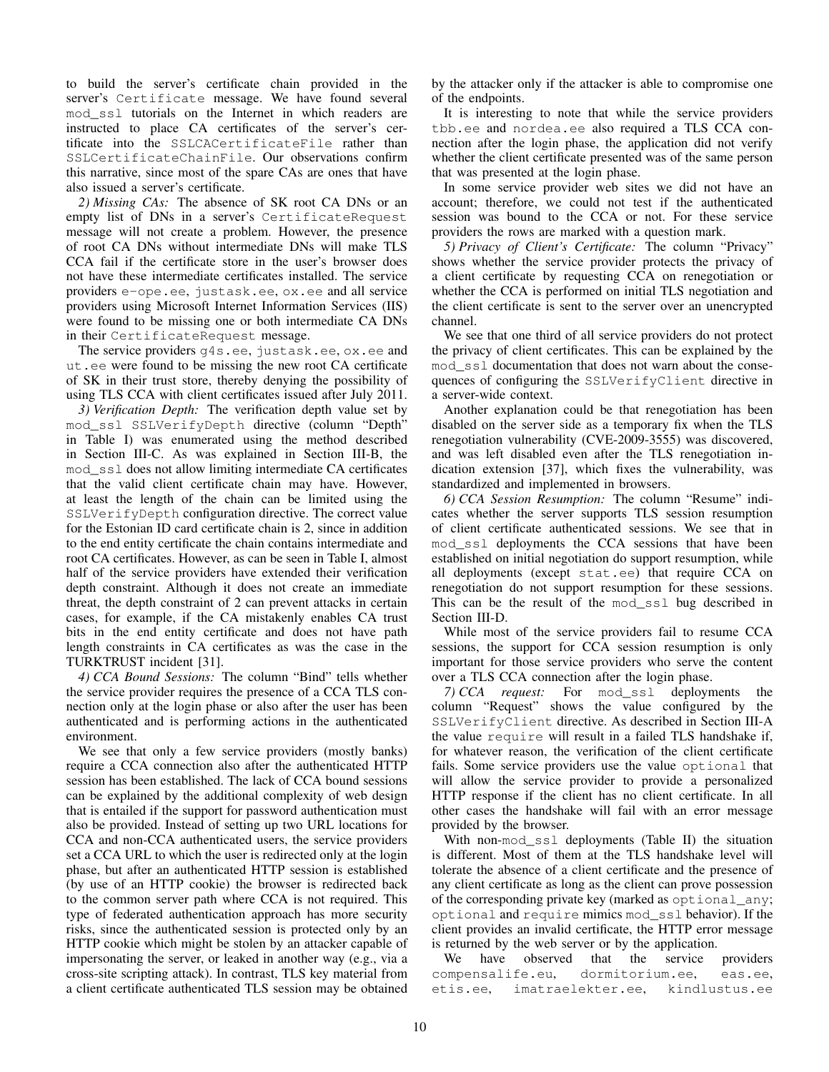to build the server's certificate chain provided in the server's Certificate message. We have found several mod\_ssl tutorials on the Internet in which readers are instructed to place CA certificates of the server's certificate into the SSLCACertificateFile rather than SSLCertificateChainFile. Our observations confirm this narrative, since most of the spare CAs are ones that have also issued a server's certificate.

*2) Missing CAs:* The absence of SK root CA DNs or an empty list of DNs in a server's CertificateRequest message will not create a problem. However, the presence of root CA DNs without intermediate DNs will make TLS CCA fail if the certificate store in the user's browser does not have these intermediate certificates installed. The service providers e-ope.ee, justask.ee, ox.ee and all service providers using Microsoft Internet Information Services (IIS) were found to be missing one or both intermediate CA DNs in their CertificateRequest message.

The service providers g4s.ee, justask.ee, ox.ee and ut.ee were found to be missing the new root CA certificate of SK in their trust store, thereby denying the possibility of using TLS CCA with client certificates issued after July 2011.

*3) Verification Depth:* The verification depth value set by mod\_ssl SSLVerifyDepth directive (column "Depth" in Table [I\)](#page-8-1) was enumerated using the method described in Section [III-C.](#page-3-2) As was explained in Section [III-B,](#page-3-1) the mod\_ssl does not allow limiting intermediate CA certificates that the valid client certificate chain may have. However, at least the length of the chain can be limited using the SSLVerifyDepth configuration directive. The correct value for the Estonian ID card certificate chain is 2, since in addition to the end entity certificate the chain contains intermediate and root CA certificates. However, as can be seen in Table [I,](#page-8-1) almost half of the service providers have extended their verification depth constraint. Although it does not create an immediate threat, the depth constraint of 2 can prevent attacks in certain cases, for example, if the CA mistakenly enables CA trust bits in the end entity certificate and does not have path length constraints in CA certificates as was the case in the TURKTRUST incident [\[31\]](#page-12-30).

<span id="page-9-0"></span>*4) CCA Bound Sessions:* The column "Bind" tells whether the service provider requires the presence of a CCA TLS connection only at the login phase or also after the user has been authenticated and is performing actions in the authenticated environment.

We see that only a few service providers (mostly banks) require a CCA connection also after the authenticated HTTP session has been established. The lack of CCA bound sessions can be explained by the additional complexity of web design that is entailed if the support for password authentication must also be provided. Instead of setting up two URL locations for CCA and non-CCA authenticated users, the service providers set a CCA URL to which the user is redirected only at the login phase, but after an authenticated HTTP session is established (by use of an HTTP cookie) the browser is redirected back to the common server path where CCA is not required. This type of federated authentication approach has more security risks, since the authenticated session is protected only by an HTTP cookie which might be stolen by an attacker capable of impersonating the server, or leaked in another way (e.g., via a cross-site scripting attack). In contrast, TLS key material from a client certificate authenticated TLS session may be obtained by the attacker only if the attacker is able to compromise one of the endpoints.

It is interesting to note that while the service providers tbb.ee and nordea.ee also required a TLS CCA connection after the login phase, the application did not verify whether the client certificate presented was of the same person that was presented at the login phase.

In some service provider web sites we did not have an account; therefore, we could not test if the authenticated session was bound to the CCA or not. For these service providers the rows are marked with a question mark.

*5) Privacy of Client's Certificate:* The column "Privacy" shows whether the service provider protects the privacy of a client certificate by requesting CCA on renegotiation or whether the CCA is performed on initial TLS negotiation and the client certificate is sent to the server over an unencrypted channel.

We see that one third of all service providers do not protect the privacy of client certificates. This can be explained by the mod\_ssl documentation that does not warn about the consequences of configuring the SSLVerifyClient directive in a server-wide context.

Another explanation could be that renegotiation has been disabled on the server side as a temporary fix when the TLS renegotiation vulnerability (CVE-2009-3555) was discovered, and was left disabled even after the TLS renegotiation indication extension [\[37\]](#page-12-36), which fixes the vulnerability, was standardized and implemented in browsers.

*6) CCA Session Resumption:* The column "Resume" indicates whether the server supports TLS session resumption of client certificate authenticated sessions. We see that in mod\_ssl deployments the CCA sessions that have been established on initial negotiation do support resumption, while all deployments (except stat.ee) that require CCA on renegotiation do not support resumption for these sessions. This can be the result of the mod\_ssl bug described in Section [III-D.](#page-3-3)

While most of the service providers fail to resume CCA sessions, the support for CCA session resumption is only important for those service providers who serve the content over a TLS CCA connection after the login phase.

*7) CCA request:* For mod\_ssl deployments the column "Request" shows the value configured by the SSLVerifyClient directive. As described in Section [III-A](#page-2-1) the value require will result in a failed TLS handshake if, for whatever reason, the verification of the client certificate fails. Some service providers use the value optional that will allow the service provider to provide a personalized HTTP response if the client has no client certificate. In all other cases the handshake will fail with an error message provided by the browser.

With non-mod ssl deployments (Table [II\)](#page-8-2) the situation is different. Most of them at the TLS handshake level will tolerate the absence of a client certificate and the presence of any client certificate as long as the client can prove possession of the corresponding private key (marked as optional\_any; optional and require mimics mod\_ssl behavior). If the client provides an invalid certificate, the HTTP error message is returned by the web server or by the application.

We have observed that the service providers compensalife.eu, dormitorium.ee, eas.ee, etis.ee, imatraelekter.ee, kindlustus.ee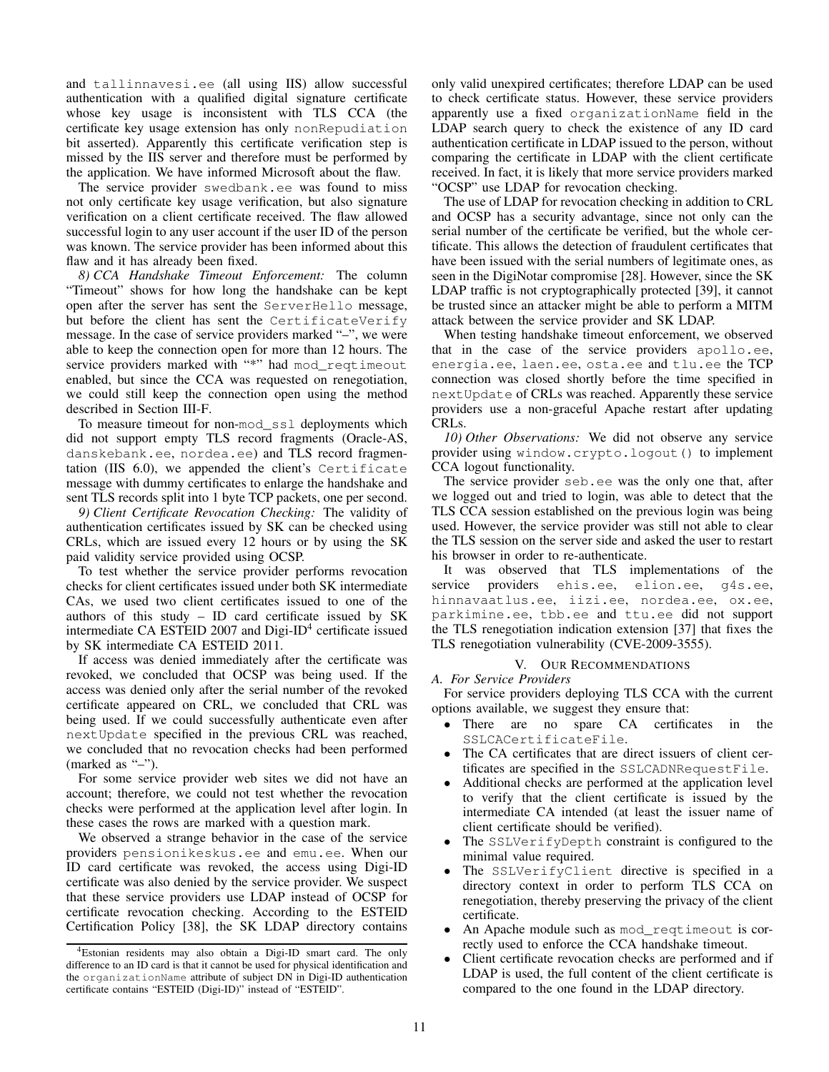and tallinnavesi.ee (all using IIS) allow successful authentication with a qualified digital signature certificate whose key usage is inconsistent with TLS CCA (the certificate key usage extension has only nonRepudiation bit asserted). Apparently this certificate verification step is missed by the IIS server and therefore must be performed by the application. We have informed Microsoft about the flaw.

The service provider swedbank.ee was found to miss not only certificate key usage verification, but also signature verification on a client certificate received. The flaw allowed successful login to any user account if the user ID of the person was known. The service provider has been informed about this flaw and it has already been fixed.

*8) CCA Handshake Timeout Enforcement:* The column "Timeout" shows for how long the handshake can be kept open after the server has sent the ServerHello message, but before the client has sent the CertificateVerify message. In the case of service providers marked "–", we were able to keep the connection open for more than 12 hours. The service providers marked with "\*" had mod\_reqtimeout enabled, but since the CCA was requested on renegotiation, we could still keep the connection open using the method described in Section [III-F.](#page-4-1)

To measure timeout for non-mod\_ssl deployments which did not support empty TLS record fragments (Oracle-AS, danskebank.ee, nordea.ee) and TLS record fragmentation (IIS 6.0), we appended the client's Certificate message with dummy certificates to enlarge the handshake and sent TLS records split into 1 byte TCP packets, one per second.

*9) Client Certificate Revocation Checking:* The validity of authentication certificates issued by SK can be checked using CRLs, which are issued every 12 hours or by using the SK paid validity service provided using OCSP.

To test whether the service provider performs revocation checks for client certificates issued under both SK intermediate CAs, we used two client certificates issued to one of the authors of this study – ID card certificate issued by SK intermediate CA ESTEID 2007 and Digi-ID<sup>4</sup> certificate issued by SK intermediate CA ESTEID 2011.

If access was denied immediately after the certificate was revoked, we concluded that OCSP was being used. If the access was denied only after the serial number of the revoked certificate appeared on CRL, we concluded that CRL was being used. If we could successfully authenticate even after nextUpdate specified in the previous CRL was reached, we concluded that no revocation checks had been performed (marked as "–").

For some service provider web sites we did not have an account; therefore, we could not test whether the revocation checks were performed at the application level after login. In these cases the rows are marked with a question mark.

We observed a strange behavior in the case of the service providers pensionikeskus.ee and emu.ee. When our ID card certificate was revoked, the access using Digi-ID certificate was also denied by the service provider. We suspect that these service providers use LDAP instead of OCSP for certificate revocation checking. According to the ESTEID Certification Policy [\[38\]](#page-12-37), the SK LDAP directory contains only valid unexpired certificates; therefore LDAP can be used to check certificate status. However, these service providers apparently use a fixed organizationName field in the LDAP search query to check the existence of any ID card authentication certificate in LDAP issued to the person, without comparing the certificate in LDAP with the client certificate received. In fact, it is likely that more service providers marked "OCSP" use LDAP for revocation checking.

The use of LDAP for revocation checking in addition to CRL and OCSP has a security advantage, since not only can the serial number of the certificate be verified, but the whole certificate. This allows the detection of fraudulent certificates that have been issued with the serial numbers of legitimate ones, as seen in the DigiNotar compromise [\[28\]](#page-12-27). However, since the SK LDAP traffic is not cryptographically protected [\[39\]](#page-12-38), it cannot be trusted since an attacker might be able to perform a MITM attack between the service provider and SK LDAP.

When testing handshake timeout enforcement, we observed that in the case of the service providers apollo.ee, energia.ee, laen.ee, osta.ee and tlu.ee the TCP connection was closed shortly before the time specified in nextUpdate of CRLs was reached. Apparently these service providers use a non-graceful Apache restart after updating CRLs.

*10) Other Observations:* We did not observe any service provider using window.crypto.logout() to implement CCA logout functionality.

The service provider seb.ee was the only one that, after we logged out and tried to login, was able to detect that the TLS CCA session established on the previous login was being used. However, the service provider was still not able to clear the TLS session on the server side and asked the user to restart his browser in order to re-authenticate.

It was observed that TLS implementations of the service providers ehis.ee, elion.ee, g4s.ee, hinnavaatlus.ee, iizi.ee, nordea.ee, ox.ee, parkimine.ee, tbb.ee and ttu.ee did not support the TLS renegotiation indication extension [\[37\]](#page-12-36) that fixes the TLS renegotiation vulnerability (CVE-2009-3555).

#### V. OUR RECOMMENDATIONS

<span id="page-10-0"></span>*A. For Service Providers*

For service providers deploying TLS CCA with the current options available, we suggest they ensure that:

- There are no spare CA certificates in the SSLCACertificateFile.
- The CA certificates that are direct issuers of client certificates are specified in the SSLCADNRequestFile.
- *•* Additional checks are performed at the application level to verify that the client certificate is issued by the intermediate CA intended (at least the issuer name of client certificate should be verified).
- The SSLVerifyDepth constraint is configured to the minimal value required.
- The SSLVerifyClient directive is specified in a directory context in order to perform TLS CCA on renegotiation, thereby preserving the privacy of the client certificate.
- An Apache module such as mod\_reqtimeout is correctly used to enforce the CCA handshake timeout.
- *•* Client certificate revocation checks are performed and if LDAP is used, the full content of the client certificate is compared to the one found in the LDAP directory.

<span id="page-10-1"></span><sup>4</sup>Estonian residents may also obtain a Digi-ID smart card. The only difference to an ID card is that it cannot be used for physical identification and the organizationName attribute of subject DN in Digi-ID authentication certificate contains "ESTEID (Digi-ID)" instead of "ESTEID".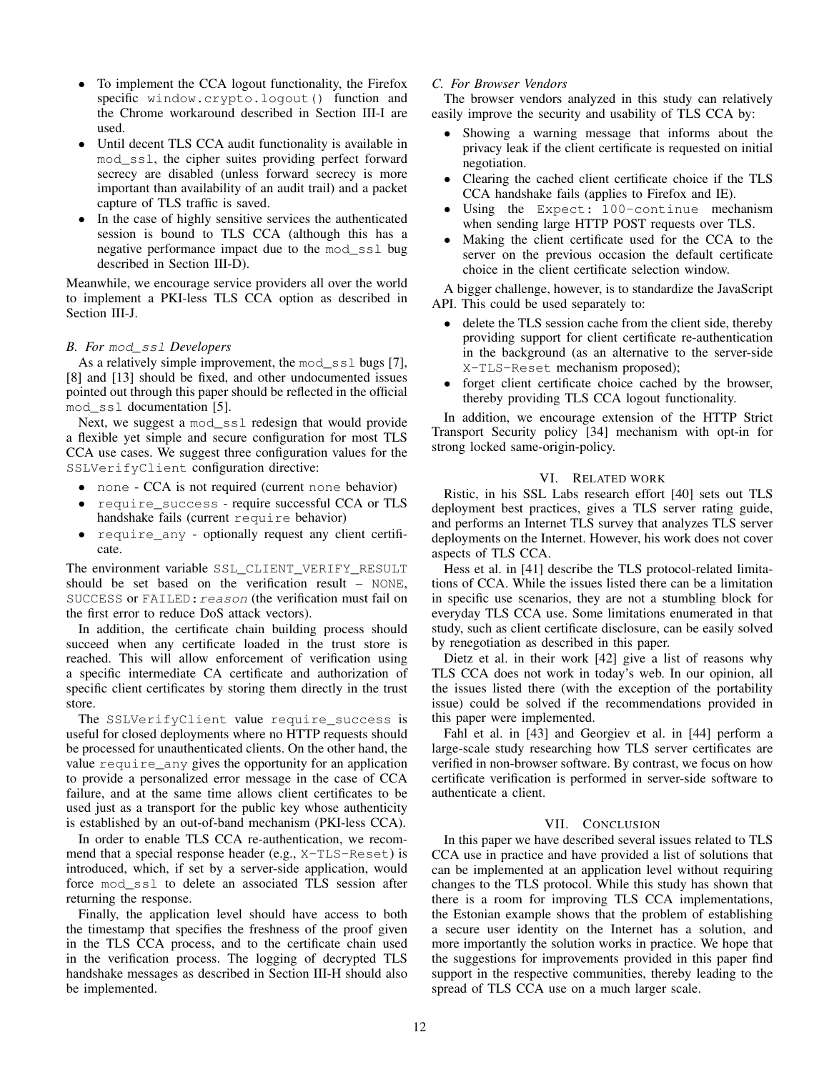- *•* To implement the CCA logout functionality, the Firefox specific window.crypto.logout() function and the Chrome workaround described in Section [III-I](#page-5-0) are used.
- *•* Until decent TLS CCA audit functionality is available in mod\_ssl, the cipher suites providing perfect forward secrecy are disabled (unless forward secrecy is more important than availability of an audit trail) and a packet capture of TLS traffic is saved.
- In the case of highly sensitive services the authenticated session is bound to TLS CCA (although this has a negative performance impact due to the mod\_ssl bug described in Section [III-D\)](#page-3-3).

Meanwhile, we encourage service providers all over the world to implement a PKI-less TLS CCA option as described in Section [III-J.](#page-7-0)

#### *B. For mod\_ssl Developers*

As a relatively simple improvement, the mod\_ssl bugs [\[7\]](#page-12-6), [\[8\]](#page-12-7) and [\[13\]](#page-12-12) should be fixed, and other undocumented issues pointed out through this paper should be reflected in the official mod\_ssl documentation [\[5\]](#page-12-4).

Next, we suggest a mod\_ssl redesign that would provide a flexible yet simple and secure configuration for most TLS CCA use cases. We suggest three configuration values for the SSLVerifyClient configuration directive:

- none CCA is not required (current none behavior)
- *•* require\_success require successful CCA or TLS handshake fails (current require behavior)
- *•* require\_any optionally request any client certificate.

The environment variable SSL\_CLIENT\_VERIFY\_RESULT should be set based on the verification result – NONE, SUCCESS or FAILED:*reason* (the verification must fail on the first error to reduce DoS attack vectors).

In addition, the certificate chain building process should succeed when any certificate loaded in the trust store is reached. This will allow enforcement of verification using a specific intermediate CA certificate and authorization of specific client certificates by storing them directly in the trust store.

The SSLVerifyClient value require\_success is useful for closed deployments where no HTTP requests should be processed for unauthenticated clients. On the other hand, the value require\_any gives the opportunity for an application to provide a personalized error message in the case of CCA failure, and at the same time allows client certificates to be used just as a transport for the public key whose authenticity is established by an out-of-band mechanism (PKI-less CCA).

In order to enable TLS CCA re-authentication, we recommend that a special response header (e.g., X-TLS-Reset) is introduced, which, if set by a server-side application, would force mod\_ssl to delete an associated TLS session after returning the response.

Finally, the application level should have access to both the timestamp that specifies the freshness of the proof given in the TLS CCA process, and to the certificate chain used in the verification process. The logging of decrypted TLS handshake messages as described in Section [III-H](#page-5-1) should also be implemented.

#### *C. For Browser Vendors*

The browser vendors analyzed in this study can relatively easily improve the security and usability of TLS CCA by:

- *•* Showing a warning message that informs about the privacy leak if the client certificate is requested on initial negotiation.
- *•* Clearing the cached client certificate choice if the TLS CCA handshake fails (applies to Firefox and IE).
- *•* Using the Expect: 100-continue mechanism when sending large HTTP POST requests over TLS.
- *•* Making the client certificate used for the CCA to the server on the previous occasion the default certificate choice in the client certificate selection window.

A bigger challenge, however, is to standardize the JavaScript API. This could be used separately to:

- delete the TLS session cache from the client side, thereby providing support for client certificate re-authentication in the background (as an alternative to the server-side X-TLS-Reset mechanism proposed);
- *•* forget client certificate choice cached by the browser, thereby providing TLS CCA logout functionality.

In addition, we encourage extension of the HTTP Strict Transport Security policy [\[34\]](#page-12-33) mechanism with opt-in for strong locked same-origin-policy.

#### VI. RELATED WORK

<span id="page-11-0"></span>Ristic, in his SSL Labs research effort [\[40\]](#page-12-39) sets out TLS deployment best practices, gives a TLS server rating guide, and performs an Internet TLS survey that analyzes TLS server deployments on the Internet. However, his work does not cover aspects of TLS CCA.

Hess et al. in [\[41\]](#page-12-40) describe the TLS protocol-related limitations of CCA. While the issues listed there can be a limitation in specific use scenarios, they are not a stumbling block for everyday TLS CCA use. Some limitations enumerated in that study, such as client certificate disclosure, can be easily solved by renegotiation as described in this paper.

Dietz et al. in their work [\[42\]](#page-12-41) give a list of reasons why TLS CCA does not work in today's web. In our opinion, all the issues listed there (with the exception of the portability issue) could be solved if the recommendations provided in this paper were implemented.

Fahl et al. in [\[43\]](#page-12-42) and Georgiev et al. in [\[44\]](#page-12-43) perform a large-scale study researching how TLS server certificates are verified in non-browser software. By contrast, we focus on how certificate verification is performed in server-side software to authenticate a client.

#### VII. CONCLUSION

<span id="page-11-1"></span>In this paper we have described several issues related to TLS CCA use in practice and have provided a list of solutions that can be implemented at an application level without requiring changes to the TLS protocol. While this study has shown that there is a room for improving TLS CCA implementations, the Estonian example shows that the problem of establishing a secure user identity on the Internet has a solution, and more importantly the solution works in practice. We hope that the suggestions for improvements provided in this paper find support in the respective communities, thereby leading to the spread of TLS CCA use on a much larger scale.